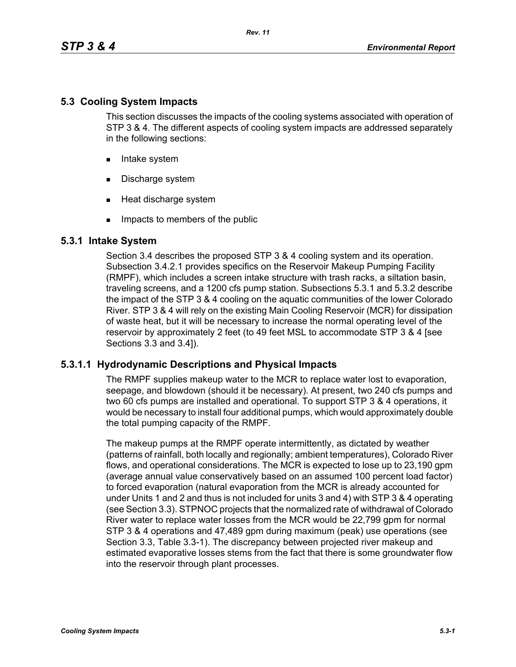## **5.3 Cooling System Impacts**

This section discusses the impacts of the cooling systems associated with operation of STP 3 & 4. The different aspects of cooling system impacts are addressed separately in the following sections:

- **Intake system**
- Discharge system
- **Heat discharge system**
- **IMPACTE THE MEMBER IMP** Impacts to members of the public

## **5.3.1 Intake System**

Section 3.4 describes the proposed STP 3 & 4 cooling system and its operation. Subsection 3.4.2.1 provides specifics on the Reservoir Makeup Pumping Facility (RMPF), which includes a screen intake structure with trash racks, a siltation basin, traveling screens, and a 1200 cfs pump station. Subsections 5.3.1 and 5.3.2 describe the impact of the STP 3 & 4 cooling on the aquatic communities of the lower Colorado River. STP 3 & 4 will rely on the existing Main Cooling Reservoir (MCR) for dissipation of waste heat, but it will be necessary to increase the normal operating level of the reservoir by approximately 2 feet (to 49 feet MSL to accommodate STP 3 & 4 [see Sections 3.3 and 3.4]).

## **5.3.1.1 Hydrodynamic Descriptions and Physical Impacts**

The RMPF supplies makeup water to the MCR to replace water lost to evaporation, seepage, and blowdown (should it be necessary). At present, two 240 cfs pumps and two 60 cfs pumps are installed and operational. To support STP 3 & 4 operations, it would be necessary to install four additional pumps, which would approximately double the total pumping capacity of the RMPF.

The makeup pumps at the RMPF operate intermittently, as dictated by weather (patterns of rainfall, both locally and regionally; ambient temperatures), Colorado River flows, and operational considerations. The MCR is expected to lose up to 23,190 gpm (average annual value conservatively based on an assumed 100 percent load factor) to forced evaporation (natural evaporation from the MCR is already accounted for under Units 1 and 2 and thus is not included for units 3 and 4) with STP 3 & 4 operating (see Section 3.3). STPNOC projects that the normalized rate of withdrawal of Colorado River water to replace water losses from the MCR would be 22,799 gpm for normal STP 3 & 4 operations and 47,489 gpm during maximum (peak) use operations (see Section 3.3, Table 3.3-1). The discrepancy between projected river makeup and estimated evaporative losses stems from the fact that there is some groundwater flow into the reservoir through plant processes.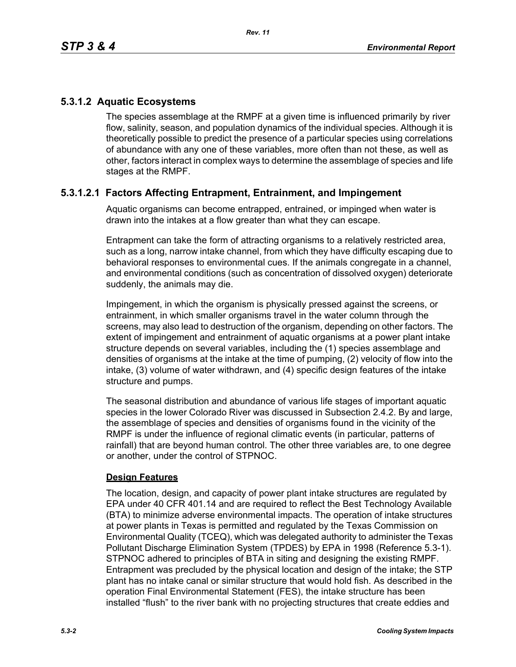## **5.3.1.2 Aquatic Ecosystems**

The species assemblage at the RMPF at a given time is influenced primarily by river flow, salinity, season, and population dynamics of the individual species. Although it is theoretically possible to predict the presence of a particular species using correlations of abundance with any one of these variables, more often than not these, as well as other, factors interact in complex ways to determine the assemblage of species and life stages at the RMPF.

## **5.3.1.2.1 Factors Affecting Entrapment, Entrainment, and Impingement**

Aquatic organisms can become entrapped, entrained, or impinged when water is drawn into the intakes at a flow greater than what they can escape.

Entrapment can take the form of attracting organisms to a relatively restricted area, such as a long, narrow intake channel, from which they have difficulty escaping due to behavioral responses to environmental cues. If the animals congregate in a channel, and environmental conditions (such as concentration of dissolved oxygen) deteriorate suddenly, the animals may die.

Impingement, in which the organism is physically pressed against the screens, or entrainment, in which smaller organisms travel in the water column through the screens, may also lead to destruction of the organism, depending on other factors. The extent of impingement and entrainment of aquatic organisms at a power plant intake structure depends on several variables, including the (1) species assemblage and densities of organisms at the intake at the time of pumping, (2) velocity of flow into the intake, (3) volume of water withdrawn, and (4) specific design features of the intake structure and pumps.

The seasonal distribution and abundance of various life stages of important aquatic species in the lower Colorado River was discussed in Subsection 2.4.2. By and large, the assemblage of species and densities of organisms found in the vicinity of the RMPF is under the influence of regional climatic events (in particular, patterns of rainfall) that are beyond human control. The other three variables are, to one degree or another, under the control of STPNOC.

### **Design Features**

The location, design, and capacity of power plant intake structures are regulated by EPA under 40 CFR 401.14 and are required to reflect the Best Technology Available (BTA) to minimize adverse environmental impacts. The operation of intake structures at power plants in Texas is permitted and regulated by the Texas Commission on Environmental Quality (TCEQ), which was delegated authority to administer the Texas Pollutant Discharge Elimination System (TPDES) by EPA in 1998 (Reference 5.3-1). STPNOC adhered to principles of BTA in siting and designing the existing RMPF. Entrapment was precluded by the physical location and design of the intake; the STP plant has no intake canal or similar structure that would hold fish. As described in the operation Final Environmental Statement (FES), the intake structure has been installed "flush" to the river bank with no projecting structures that create eddies and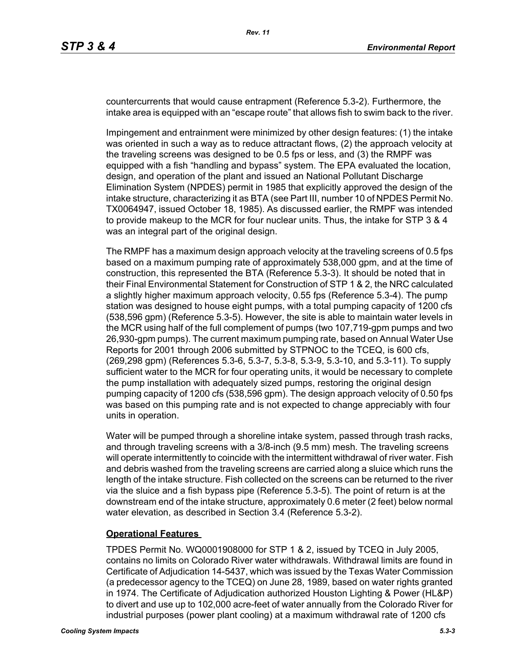countercurrents that would cause entrapment (Reference 5.3-2). Furthermore, the intake area is equipped with an "escape route" that allows fish to swim back to the river.

Impingement and entrainment were minimized by other design features: (1) the intake was oriented in such a way as to reduce attractant flows, (2) the approach velocity at the traveling screens was designed to be 0.5 fps or less, and (3) the RMPF was equipped with a fish "handling and bypass" system. The EPA evaluated the location, design, and operation of the plant and issued an National Pollutant Discharge Elimination System (NPDES) permit in 1985 that explicitly approved the design of the intake structure, characterizing it as BTA (see Part III, number 10 of NPDES Permit No. TX0064947, issued October 18, 1985). As discussed earlier, the RMPF was intended to provide makeup to the MCR for four nuclear units. Thus, the intake for STP 3 & 4 was an integral part of the original design.

The RMPF has a maximum design approach velocity at the traveling screens of 0.5 fps based on a maximum pumping rate of approximately 538,000 gpm, and at the time of construction, this represented the BTA (Reference 5.3-3). It should be noted that in their Final Environmental Statement for Construction of STP 1 & 2, the NRC calculated a slightly higher maximum approach velocity, 0.55 fps (Reference 5.3-4). The pump station was designed to house eight pumps, with a total pumping capacity of 1200 cfs (538,596 gpm) (Reference 5.3-5). However, the site is able to maintain water levels in the MCR using half of the full complement of pumps (two 107,719-gpm pumps and two 26,930-gpm pumps). The current maximum pumping rate, based on Annual Water Use Reports for 2001 through 2006 submitted by STPNOC to the TCEQ, is 600 cfs, (269,298 gpm) (References 5.3-6, 5.3-7, 5.3-8, 5.3-9, 5.3-10, and 5.3-11). To supply sufficient water to the MCR for four operating units, it would be necessary to complete the pump installation with adequately sized pumps, restoring the original design pumping capacity of 1200 cfs (538,596 gpm). The design approach velocity of 0.50 fps was based on this pumping rate and is not expected to change appreciably with four units in operation.

Water will be pumped through a shoreline intake system, passed through trash racks, and through traveling screens with a 3/8-inch (9.5 mm) mesh. The traveling screens will operate intermittently to coincide with the intermittent withdrawal of river water. Fish and debris washed from the traveling screens are carried along a sluice which runs the length of the intake structure. Fish collected on the screens can be returned to the river via the sluice and a fish bypass pipe (Reference 5.3-5). The point of return is at the downstream end of the intake structure, approximately 0.6 meter (2 feet) below normal water elevation, as described in Section 3.4 (Reference 5.3-2).

#### **Operational Features**

TPDES Permit No. WQ0001908000 for STP 1 & 2, issued by TCEQ in July 2005, contains no limits on Colorado River water withdrawals. Withdrawal limits are found in Certificate of Adjudication 14-5437, which was issued by the Texas Water Commission (a predecessor agency to the TCEQ) on June 28, 1989, based on water rights granted in 1974. The Certificate of Adjudication authorized Houston Lighting & Power (HL&P) to divert and use up to 102,000 acre-feet of water annually from the Colorado River for industrial purposes (power plant cooling) at a maximum withdrawal rate of 1200 cfs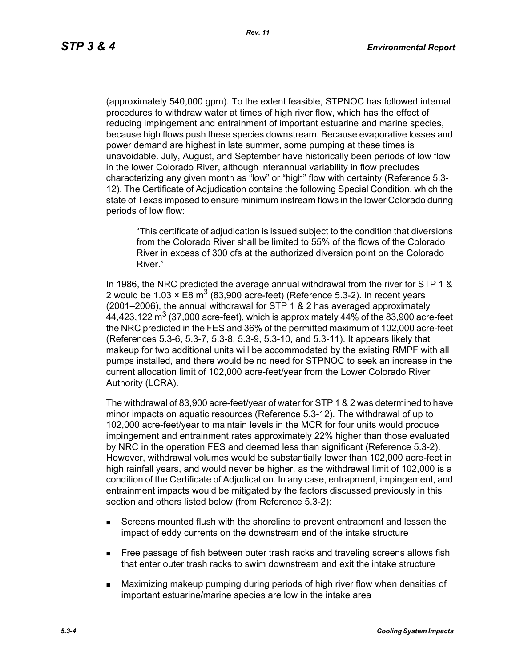(approximately 540,000 gpm). To the extent feasible, STPNOC has followed internal procedures to withdraw water at times of high river flow, which has the effect of reducing impingement and entrainment of important estuarine and marine species, because high flows push these species downstream. Because evaporative losses and power demand are highest in late summer, some pumping at these times is unavoidable. July, August, and September have historically been periods of low flow in the lower Colorado River, although interannual variability in flow precludes characterizing any given month as "low" or "high" flow with certainty (Reference 5.3- 12). The Certificate of Adjudication contains the following Special Condition, which the state of Texas imposed to ensure minimum instream flows in the lower Colorado during periods of low flow:

"This certificate of adjudication is issued subject to the condition that diversions from the Colorado River shall be limited to 55% of the flows of the Colorado River in excess of 300 cfs at the authorized diversion point on the Colorado River."

In 1986, the NRC predicted the average annual withdrawal from the river for STP 1 & 2 would be 1.03  $\times$  E8 m<sup>3</sup> (83,900 acre-feet) (Reference 5.3-2). In recent years (2001–2006), the annual withdrawal for STP 1 & 2 has averaged approximately 44,423,122  $\text{m}^3$  (37,000 acre-feet), which is approximately 44% of the 83,900 acre-feet the NRC predicted in the FES and 36% of the permitted maximum of 102,000 acre-feet (References 5.3-6, 5.3-7, 5.3-8, 5.3-9, 5.3-10, and 5.3-11). It appears likely that makeup for two additional units will be accommodated by the existing RMPF with all pumps installed, and there would be no need for STPNOC to seek an increase in the current allocation limit of 102,000 acre-feet/year from the Lower Colorado River Authority (LCRA).

The withdrawal of 83,900 acre-feet/year of water for STP 1 & 2 was determined to have minor impacts on aquatic resources (Reference 5.3-12). The withdrawal of up to 102,000 acre-feet/year to maintain levels in the MCR for four units would produce impingement and entrainment rates approximately 22% higher than those evaluated by NRC in the operation FES and deemed less than significant (Reference 5.3-2). However, withdrawal volumes would be substantially lower than 102,000 acre-feet in high rainfall years, and would never be higher, as the withdrawal limit of 102,000 is a condition of the Certificate of Adjudication. In any case, entrapment, impingement, and entrainment impacts would be mitigated by the factors discussed previously in this section and others listed below (from Reference 5.3-2):

- Screens mounted flush with the shoreline to prevent entrapment and lessen the impact of eddy currents on the downstream end of the intake structure
- **Free passage of fish between outer trash racks and traveling screens allows fish** that enter outer trash racks to swim downstream and exit the intake structure
- Maximizing makeup pumping during periods of high river flow when densities of important estuarine/marine species are low in the intake area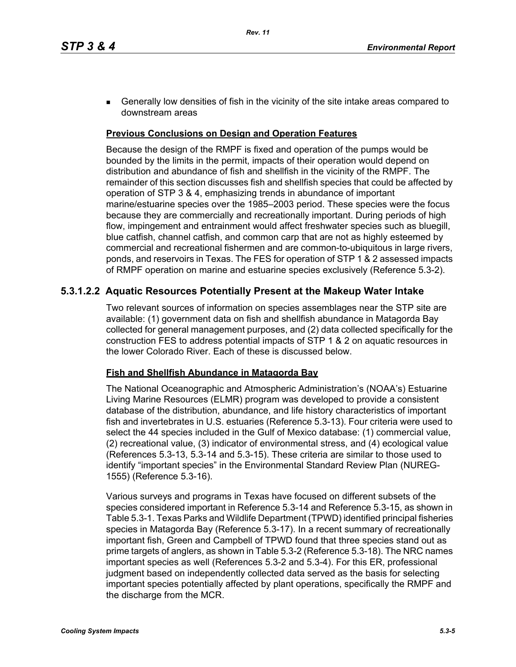**Generally low densities of fish in the vicinity of the site intake areas compared to** downstream areas

### **Previous Conclusions on Design and Operation Features**

Because the design of the RMPF is fixed and operation of the pumps would be bounded by the limits in the permit, impacts of their operation would depend on distribution and abundance of fish and shellfish in the vicinity of the RMPF. The remainder of this section discusses fish and shellfish species that could be affected by operation of STP 3 & 4, emphasizing trends in abundance of important marine/estuarine species over the 1985–2003 period. These species were the focus because they are commercially and recreationally important. During periods of high flow, impingement and entrainment would affect freshwater species such as bluegill, blue catfish, channel catfish, and common carp that are not as highly esteemed by commercial and recreational fishermen and are common-to-ubiquitous in large rivers, ponds, and reservoirs in Texas. The FES for operation of STP 1 & 2 assessed impacts of RMPF operation on marine and estuarine species exclusively (Reference 5.3-2).

## **5.3.1.2.2 Aquatic Resources Potentially Present at the Makeup Water Intake**

Two relevant sources of information on species assemblages near the STP site are available: (1) government data on fish and shellfish abundance in Matagorda Bay collected for general management purposes, and (2) data collected specifically for the construction FES to address potential impacts of STP 1 & 2 on aquatic resources in the lower Colorado River. Each of these is discussed below.

#### **Fish and Shellfish Abundance in Matagorda Bay**

The National Oceanographic and Atmospheric Administration's (NOAA's) Estuarine Living Marine Resources (ELMR) program was developed to provide a consistent database of the distribution, abundance, and life history characteristics of important fish and invertebrates in U.S. estuaries (Reference 5.3-13). Four criteria were used to select the 44 species included in the Gulf of Mexico database: (1) commercial value, (2) recreational value, (3) indicator of environmental stress, and (4) ecological value (References 5.3-13, 5.3-14 and 5.3-15). These criteria are similar to those used to identify "important species" in the Environmental Standard Review Plan (NUREG-1555) (Reference 5.3-16).

Various surveys and programs in Texas have focused on different subsets of the species considered important in Reference 5.3-14 and Reference 5.3-15, as shown in Table 5.3-1. Texas Parks and Wildlife Department (TPWD) identified principal fisheries species in Matagorda Bay (Reference 5.3-17). In a recent summary of recreationally important fish, Green and Campbell of TPWD found that three species stand out as prime targets of anglers, as shown in Table 5.3-2 (Reference 5.3-18). The NRC names important species as well (References 5.3-2 and 5.3-4). For this ER, professional judgment based on independently collected data served as the basis for selecting important species potentially affected by plant operations, specifically the RMPF and the discharge from the MCR.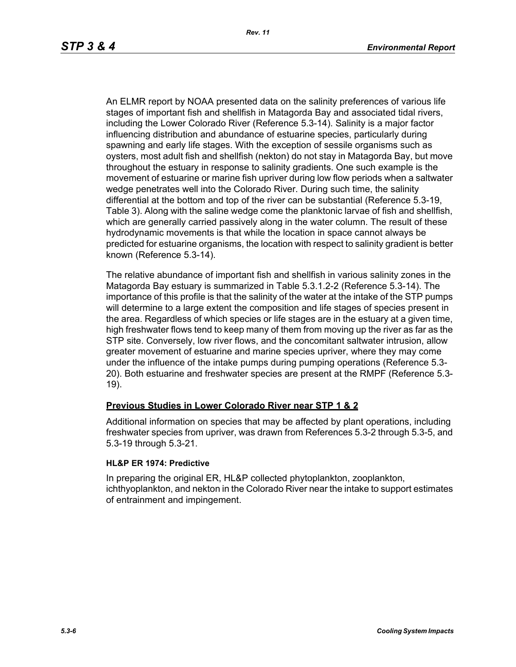An ELMR report by NOAA presented data on the salinity preferences of various life stages of important fish and shellfish in Matagorda Bay and associated tidal rivers, including the Lower Colorado River (Reference 5.3-14). Salinity is a major factor influencing distribution and abundance of estuarine species, particularly during spawning and early life stages. With the exception of sessile organisms such as oysters, most adult fish and shellfish (nekton) do not stay in Matagorda Bay, but move throughout the estuary in response to salinity gradients. One such example is the movement of estuarine or marine fish upriver during low flow periods when a saltwater wedge penetrates well into the Colorado River. During such time, the salinity differential at the bottom and top of the river can be substantial (Reference 5.3-19, Table 3). Along with the saline wedge come the planktonic larvae of fish and shellfish, which are generally carried passively along in the water column. The result of these hydrodynamic movements is that while the location in space cannot always be predicted for estuarine organisms, the location with respect to salinity gradient is better known (Reference 5.3-14).

The relative abundance of important fish and shellfish in various salinity zones in the Matagorda Bay estuary is summarized in Table 5.3.1.2-2 (Reference 5.3-14). The importance of this profile is that the salinity of the water at the intake of the STP pumps will determine to a large extent the composition and life stages of species present in the area. Regardless of which species or life stages are in the estuary at a given time, high freshwater flows tend to keep many of them from moving up the river as far as the STP site. Conversely, low river flows, and the concomitant saltwater intrusion, allow greater movement of estuarine and marine species upriver, where they may come under the influence of the intake pumps during pumping operations (Reference 5.3- 20). Both estuarine and freshwater species are present at the RMPF (Reference 5.3- 19).

### **Previous Studies in Lower Colorado River near STP 1 & 2**

Additional information on species that may be affected by plant operations, including freshwater species from upriver, was drawn from References 5.3-2 through 5.3-5, and 5.3-19 through 5.3-21.

#### **HL&P ER 1974: Predictive**

In preparing the original ER, HL&P collected phytoplankton, zooplankton, ichthyoplankton, and nekton in the Colorado River near the intake to support estimates of entrainment and impingement.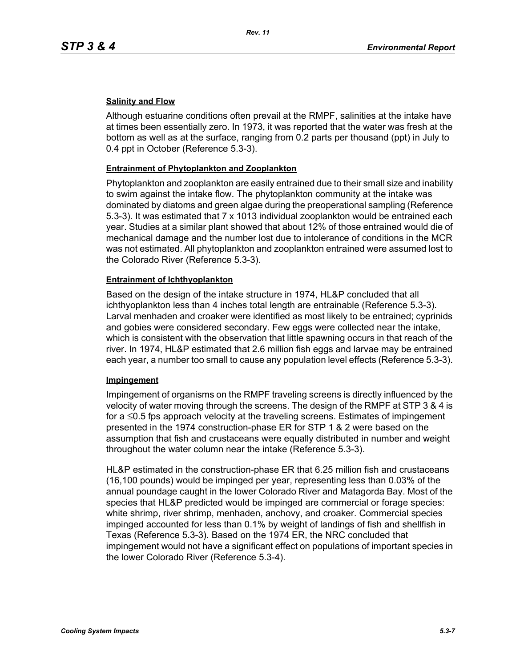### **Salinity and Flow**

Although estuarine conditions often prevail at the RMPF, salinities at the intake have at times been essentially zero. In 1973, it was reported that the water was fresh at the bottom as well as at the surface, ranging from 0.2 parts per thousand (ppt) in July to 0.4 ppt in October (Reference 5.3-3).

### **Entrainment of Phytoplankton and Zooplankton**

Phytoplankton and zooplankton are easily entrained due to their small size and inability to swim against the intake flow. The phytoplankton community at the intake was dominated by diatoms and green algae during the preoperational sampling (Reference 5.3-3). It was estimated that 7 x 1013 individual zooplankton would be entrained each year. Studies at a similar plant showed that about 12% of those entrained would die of mechanical damage and the number lost due to intolerance of conditions in the MCR was not estimated. All phytoplankton and zooplankton entrained were assumed lost to the Colorado River (Reference 5.3-3).

### **Entrainment of Ichthyoplankton**

Based on the design of the intake structure in 1974, HL&P concluded that all ichthyoplankton less than 4 inches total length are entrainable (Reference 5.3-3). Larval menhaden and croaker were identified as most likely to be entrained; cyprinids and gobies were considered secondary. Few eggs were collected near the intake, which is consistent with the observation that little spawning occurs in that reach of the river. In 1974, HL&P estimated that 2.6 million fish eggs and larvae may be entrained each year, a number too small to cause any population level effects (Reference 5.3-3).

#### **Impingement**

Impingement of organisms on the RMPF traveling screens is directly influenced by the velocity of water moving through the screens. The design of the RMPF at STP 3 & 4 is for a ≤0.5 fps approach velocity at the traveling screens. Estimates of impingement presented in the 1974 construction-phase ER for STP 1 & 2 were based on the assumption that fish and crustaceans were equally distributed in number and weight throughout the water column near the intake (Reference 5.3-3).

HL&P estimated in the construction-phase ER that 6.25 million fish and crustaceans (16,100 pounds) would be impinged per year, representing less than 0.03% of the annual poundage caught in the lower Colorado River and Matagorda Bay. Most of the species that HL&P predicted would be impinged are commercial or forage species: white shrimp, river shrimp, menhaden, anchovy, and croaker. Commercial species impinged accounted for less than 0.1% by weight of landings of fish and shellfish in Texas (Reference 5.3-3). Based on the 1974 ER, the NRC concluded that impingement would not have a significant effect on populations of important species in the lower Colorado River (Reference 5.3-4).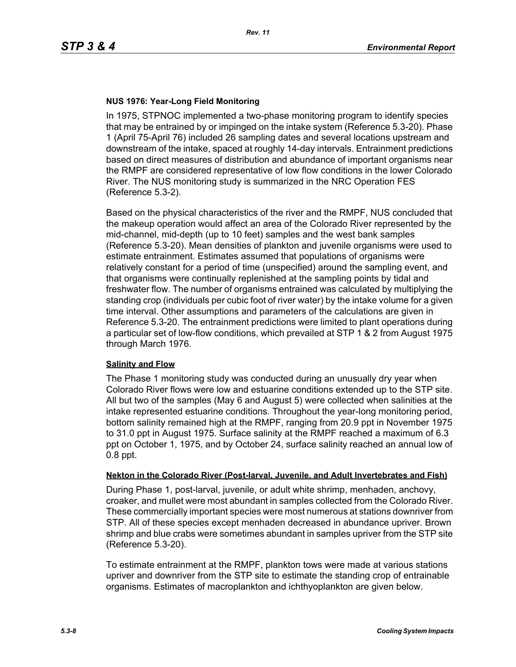### **NUS 1976: Year-Long Field Monitoring**

In 1975, STPNOC implemented a two-phase monitoring program to identify species that may be entrained by or impinged on the intake system (Reference 5.3-20). Phase 1 (April 75-April 76) included 26 sampling dates and several locations upstream and downstream of the intake, spaced at roughly 14-day intervals. Entrainment predictions based on direct measures of distribution and abundance of important organisms near the RMPF are considered representative of low flow conditions in the lower Colorado River. The NUS monitoring study is summarized in the NRC Operation FES (Reference 5.3-2).

Based on the physical characteristics of the river and the RMPF, NUS concluded that the makeup operation would affect an area of the Colorado River represented by the mid-channel, mid-depth (up to 10 feet) samples and the west bank samples (Reference 5.3-20). Mean densities of plankton and juvenile organisms were used to estimate entrainment. Estimates assumed that populations of organisms were relatively constant for a period of time (unspecified) around the sampling event, and that organisms were continually replenished at the sampling points by tidal and freshwater flow. The number of organisms entrained was calculated by multiplying the standing crop (individuals per cubic foot of river water) by the intake volume for a given time interval. Other assumptions and parameters of the calculations are given in Reference 5.3-20. The entrainment predictions were limited to plant operations during a particular set of low-flow conditions, which prevailed at STP 1 & 2 from August 1975 through March 1976.

#### **Salinity and Flow**

The Phase 1 monitoring study was conducted during an unusually dry year when Colorado River flows were low and estuarine conditions extended up to the STP site. All but two of the samples (May 6 and August 5) were collected when salinities at the intake represented estuarine conditions. Throughout the year-long monitoring period, bottom salinity remained high at the RMPF, ranging from 20.9 ppt in November 1975 to 31.0 ppt in August 1975. Surface salinity at the RMPF reached a maximum of 6.3 ppt on October 1, 1975, and by October 24, surface salinity reached an annual low of 0.8 ppt.

#### **Nekton in the Colorado River (Post-larval, Juvenile, and Adult Invertebrates and Fish)**

During Phase 1, post-larval, juvenile, or adult white shrimp, menhaden, anchovy, croaker, and mullet were most abundant in samples collected from the Colorado River. These commercially important species were most numerous at stations downriver from STP. All of these species except menhaden decreased in abundance upriver. Brown shrimp and blue crabs were sometimes abundant in samples upriver from the STP site (Reference 5.3-20).

To estimate entrainment at the RMPF, plankton tows were made at various stations upriver and downriver from the STP site to estimate the standing crop of entrainable organisms. Estimates of macroplankton and ichthyoplankton are given below.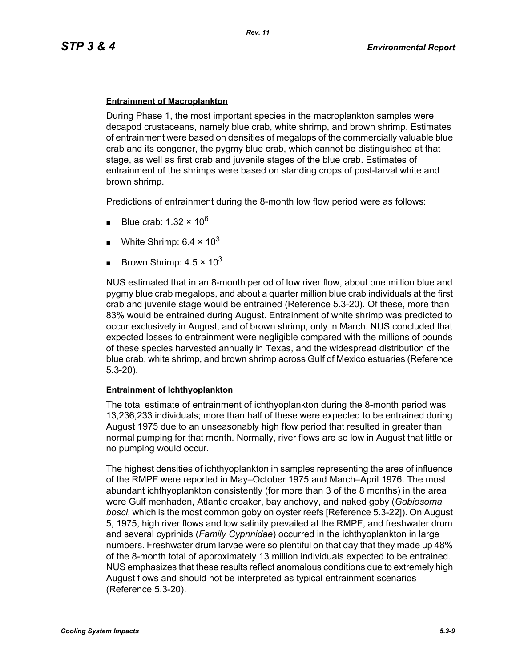#### **Entrainment of Macroplankton**

During Phase 1, the most important species in the macroplankton samples were decapod crustaceans, namely blue crab, white shrimp, and brown shrimp. Estimates of entrainment were based on densities of megalops of the commercially valuable blue crab and its congener, the pygmy blue crab, which cannot be distinguished at that stage, as well as first crab and juvenile stages of the blue crab. Estimates of entrainment of the shrimps were based on standing crops of post-larval white and brown shrimp.

Predictions of entrainment during the 8-month low flow period were as follows:

- Blue crab: 1.32  $\times$  10<sup>6</sup>
- White Shrimp:  $6.4 \times 10^3$
- Brown Shrimp:  $4.5 \times 10^3$

NUS estimated that in an 8-month period of low river flow, about one million blue and pygmy blue crab megalops, and about a quarter million blue crab individuals at the first crab and juvenile stage would be entrained (Reference 5.3-20). Of these, more than 83% would be entrained during August. Entrainment of white shrimp was predicted to occur exclusively in August, and of brown shrimp, only in March. NUS concluded that expected losses to entrainment were negligible compared with the millions of pounds of these species harvested annually in Texas, and the widespread distribution of the blue crab, white shrimp, and brown shrimp across Gulf of Mexico estuaries (Reference 5.3-20).

#### **Entrainment of Ichthyoplankton**

The total estimate of entrainment of ichthyoplankton during the 8-month period was 13,236,233 individuals; more than half of these were expected to be entrained during August 1975 due to an unseasonably high flow period that resulted in greater than normal pumping for that month. Normally, river flows are so low in August that little or no pumping would occur.

The highest densities of ichthyoplankton in samples representing the area of influence of the RMPF were reported in May–October 1975 and March–April 1976. The most abundant ichthyoplankton consistently (for more than 3 of the 8 months) in the area were Gulf menhaden, Atlantic croaker, bay anchovy, and naked goby (*Gobiosoma bosci*, which is the most common goby on oyster reefs [Reference 5.3-22]). On August 5, 1975, high river flows and low salinity prevailed at the RMPF, and freshwater drum and several cyprinids (*Family Cyprinidae*) occurred in the ichthyoplankton in large numbers. Freshwater drum larvae were so plentiful on that day that they made up 48% of the 8-month total of approximately 13 million individuals expected to be entrained. NUS emphasizes that these results reflect anomalous conditions due to extremely high August flows and should not be interpreted as typical entrainment scenarios (Reference 5.3-20).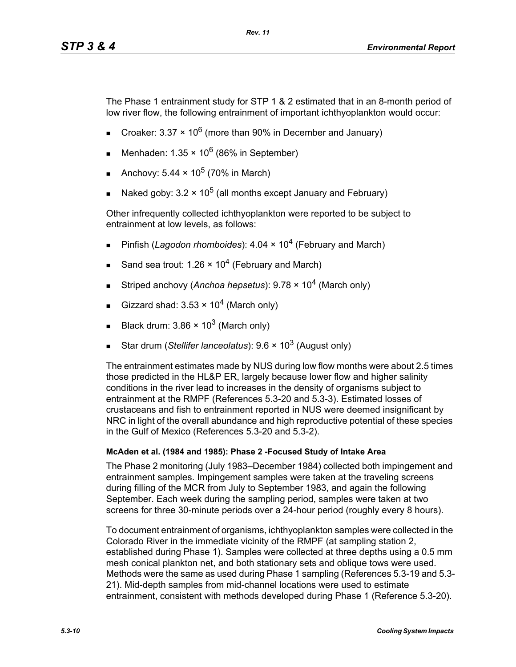The Phase 1 entrainment study for STP 1 & 2 estimated that in an 8-month period of low river flow, the following entrainment of important ichthyoplankton would occur:

- Croaker: 3.37  $\times$  10<sup>6</sup> (more than 90% in December and January)
- Menhaden:  $1.35 \times 10^6$  (86% in September)
- Anchovy:  $5.44 \times 10^5$  (70% in March)
- Naked goby:  $3.2 \times 10^5$  (all months except January and February)

Other infrequently collected ichthyoplankton were reported to be subject to entrainment at low levels, as follows:

- Pinfish (*Lagodon rhomboides*): 4.04 × 10<sup>4</sup> (February and March)
- Sand sea trout: 1.26  $\times$  10<sup>4</sup> (February and March)
- Striped anchovy (*Anchoa hepsetus*): 9.78 × 104 (March only)
- Gizzard shad:  $3.53 \times 10^4$  (March only)
- Black drum:  $3.86 \times 10^3$  (March only)
- Star drum (*Stellifer lanceolatus*): 9.6 × 10<sup>3</sup> (August only)

The entrainment estimates made by NUS during low flow months were about 2.5 times those predicted in the HL&P ER, largely because lower flow and higher salinity conditions in the river lead to increases in the density of organisms subject to entrainment at the RMPF (References 5.3-20 and 5.3-3). Estimated losses of crustaceans and fish to entrainment reported in NUS were deemed insignificant by NRC in light of the overall abundance and high reproductive potential of these species in the Gulf of Mexico (References 5.3-20 and 5.3-2).

## **McAden et al. (1984 and 1985): Phase 2 -Focused Study of Intake Area**

The Phase 2 monitoring (July 1983–December 1984) collected both impingement and entrainment samples. Impingement samples were taken at the traveling screens during filling of the MCR from July to September 1983, and again the following September. Each week during the sampling period, samples were taken at two screens for three 30-minute periods over a 24-hour period (roughly every 8 hours).

To document entrainment of organisms, ichthyoplankton samples were collected in the Colorado River in the immediate vicinity of the RMPF (at sampling station 2, established during Phase 1). Samples were collected at three depths using a 0.5 mm mesh conical plankton net, and both stationary sets and oblique tows were used. Methods were the same as used during Phase 1 sampling (References 5.3-19 and 5.3- 21). Mid-depth samples from mid-channel locations were used to estimate entrainment, consistent with methods developed during Phase 1 (Reference 5.3-20).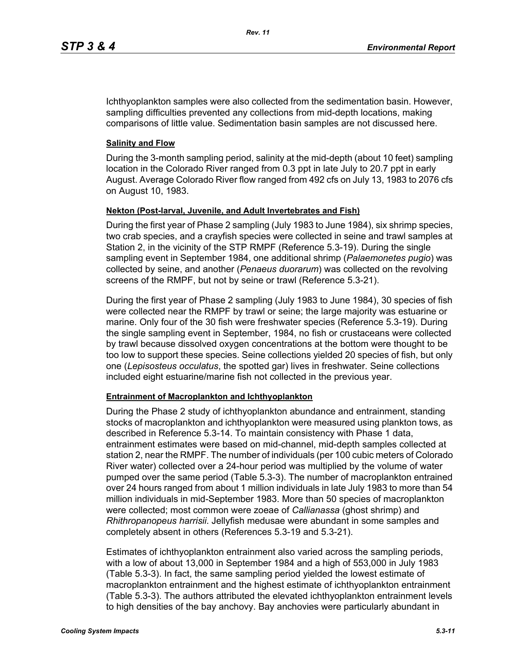Ichthyoplankton samples were also collected from the sedimentation basin. However, sampling difficulties prevented any collections from mid-depth locations, making comparisons of little value. Sedimentation basin samples are not discussed here.

### **Salinity and Flow**

During the 3-month sampling period, salinity at the mid-depth (about 10 feet) sampling location in the Colorado River ranged from 0.3 ppt in late July to 20.7 ppt in early August. Average Colorado River flow ranged from 492 cfs on July 13, 1983 to 2076 cfs on August 10, 1983.

### **Nekton (Post-larval, Juvenile, and Adult Invertebrates and Fish)**

During the first year of Phase 2 sampling (July 1983 to June 1984), six shrimp species, two crab species, and a crayfish species were collected in seine and trawl samples at Station 2, in the vicinity of the STP RMPF (Reference 5.3-19). During the single sampling event in September 1984, one additional shrimp (*Palaemonetes pugio*) was collected by seine, and another (*Penaeus duorarum*) was collected on the revolving screens of the RMPF, but not by seine or trawl (Reference 5.3-21).

During the first year of Phase 2 sampling (July 1983 to June 1984), 30 species of fish were collected near the RMPF by trawl or seine; the large majority was estuarine or marine. Only four of the 30 fish were freshwater species (Reference 5.3-19). During the single sampling event in September, 1984, no fish or crustaceans were collected by trawl because dissolved oxygen concentrations at the bottom were thought to be too low to support these species. Seine collections yielded 20 species of fish, but only one (*Lepisosteus occulatus*, the spotted gar) lives in freshwater. Seine collections included eight estuarine/marine fish not collected in the previous year.

#### **Entrainment of Macroplankton and Ichthyoplankton**

During the Phase 2 study of ichthyoplankton abundance and entrainment, standing stocks of macroplankton and ichthyoplankton were measured using plankton tows, as described in Reference 5.3-14. To maintain consistency with Phase 1 data, entrainment estimates were based on mid-channel, mid-depth samples collected at station 2, near the RMPF. The number of individuals (per 100 cubic meters of Colorado River water) collected over a 24-hour period was multiplied by the volume of water pumped over the same period (Table 5.3-3). The number of macroplankton entrained over 24 hours ranged from about 1 million individuals in late July 1983 to more than 54 million individuals in mid-September 1983. More than 50 species of macroplankton were collected; most common were zoeae of *Callianassa* (ghost shrimp) and *Rhithropanopeus harrisii*. Jellyfish medusae were abundant in some samples and completely absent in others (References 5.3-19 and 5.3-21).

Estimates of ichthyoplankton entrainment also varied across the sampling periods, with a low of about 13,000 in September 1984 and a high of 553,000 in July 1983 (Table 5.3-3). In fact, the same sampling period yielded the lowest estimate of macroplankton entrainment and the highest estimate of ichthyoplankton entrainment (Table 5.3-3). The authors attributed the elevated ichthyoplankton entrainment levels to high densities of the bay anchovy. Bay anchovies were particularly abundant in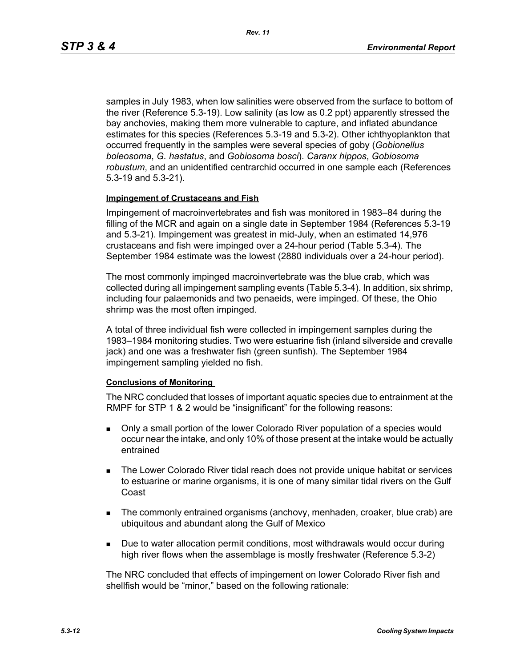samples in July 1983, when low salinities were observed from the surface to bottom of the river (Reference 5.3-19). Low salinity (as low as 0.2 ppt) apparently stressed the bay anchovies, making them more vulnerable to capture, and inflated abundance estimates for this species (References 5.3-19 and 5.3-2). Other ichthyoplankton that occurred frequently in the samples were several species of goby (*Gobionellus boleosoma*, *G. hastatus*, and *Gobiosoma bosci*). *Caranx hippos*, *Gobiosoma robustum*, and an unidentified centrarchid occurred in one sample each (References 5.3-19 and 5.3-21).

#### **Impingement of Crustaceans and Fish**

Impingement of macroinvertebrates and fish was monitored in 1983–84 during the filling of the MCR and again on a single date in September 1984 (References 5.3-19 and 5.3-21). Impingement was greatest in mid-July, when an estimated 14,976 crustaceans and fish were impinged over a 24-hour period (Table 5.3-4). The September 1984 estimate was the lowest (2880 individuals over a 24-hour period).

The most commonly impinged macroinvertebrate was the blue crab, which was collected during all impingement sampling events (Table 5.3-4). In addition, six shrimp, including four palaemonids and two penaeids, were impinged. Of these, the Ohio shrimp was the most often impinged.

A total of three individual fish were collected in impingement samples during the 1983–1984 monitoring studies. Two were estuarine fish (inland silverside and crevalle jack) and one was a freshwater fish (green sunfish). The September 1984 impingement sampling yielded no fish.

#### **Conclusions of Monitoring**

The NRC concluded that losses of important aquatic species due to entrainment at the RMPF for STP 1 & 2 would be "insignificant" for the following reasons:

- Only a small portion of the lower Colorado River population of a species would occur near the intake, and only 10% of those present at the intake would be actually entrained
- **The Lower Colorado River tidal reach does not provide unique habitat or services** to estuarine or marine organisms, it is one of many similar tidal rivers on the Gulf Coast
- The commonly entrained organisms (anchovy, menhaden, croaker, blue crab) are ubiquitous and abundant along the Gulf of Mexico
- **Due to water allocation permit conditions, most withdrawals would occur during** high river flows when the assemblage is mostly freshwater (Reference 5.3-2)

The NRC concluded that effects of impingement on lower Colorado River fish and shellfish would be "minor," based on the following rationale: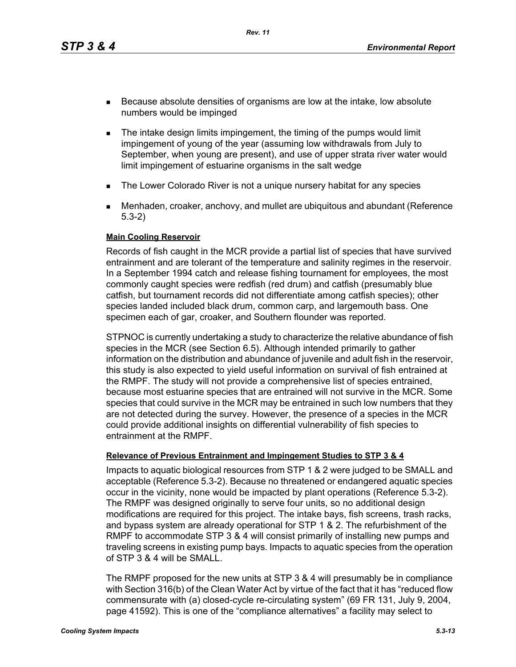*Rev. 11*

- Because absolute densities of organisms are low at the intake, low absolute numbers would be impinged
- **The intake design limits impingement, the timing of the pumps would limit** impingement of young of the year (assuming low withdrawals from July to September, when young are present), and use of upper strata river water would limit impingement of estuarine organisms in the salt wedge
- **The Lower Colorado River is not a unique nursery habitat for any species**
- Menhaden, croaker, anchovy, and mullet are ubiquitous and abundant (Reference 5.3-2)

### **Main Cooling Reservoir**

Records of fish caught in the MCR provide a partial list of species that have survived entrainment and are tolerant of the temperature and salinity regimes in the reservoir. In a September 1994 catch and release fishing tournament for employees, the most commonly caught species were redfish (red drum) and catfish (presumably blue catfish, but tournament records did not differentiate among catfish species); other species landed included black drum, common carp, and largemouth bass. One specimen each of gar, croaker, and Southern flounder was reported.

STPNOC is currently undertaking a study to characterize the relative abundance of fish species in the MCR (see Section 6.5). Although intended primarily to gather information on the distribution and abundance of juvenile and adult fish in the reservoir, this study is also expected to yield useful information on survival of fish entrained at the RMPF. The study will not provide a comprehensive list of species entrained, because most estuarine species that are entrained will not survive in the MCR. Some species that could survive in the MCR may be entrained in such low numbers that they are not detected during the survey. However, the presence of a species in the MCR could provide additional insights on differential vulnerability of fish species to entrainment at the RMPF.

### **Relevance of Previous Entrainment and Impingement Studies to STP 3 & 4**

Impacts to aquatic biological resources from STP 1 & 2 were judged to be SMALL and acceptable (Reference 5.3-2). Because no threatened or endangered aquatic species occur in the vicinity, none would be impacted by plant operations (Reference 5.3-2). The RMPF was designed originally to serve four units, so no additional design modifications are required for this project. The intake bays, fish screens, trash racks, and bypass system are already operational for STP 1 & 2. The refurbishment of the RMPF to accommodate STP 3 & 4 will consist primarily of installing new pumps and traveling screens in existing pump bays. Impacts to aquatic species from the operation of STP 3 & 4 will be SMALL.

The RMPF proposed for the new units at STP 3 & 4 will presumably be in compliance with Section 316(b) of the Clean Water Act by virtue of the fact that it has "reduced flow commensurate with (a) closed-cycle re-circulating system" (69 FR 131, July 9, 2004, page 41592). This is one of the "compliance alternatives" a facility may select to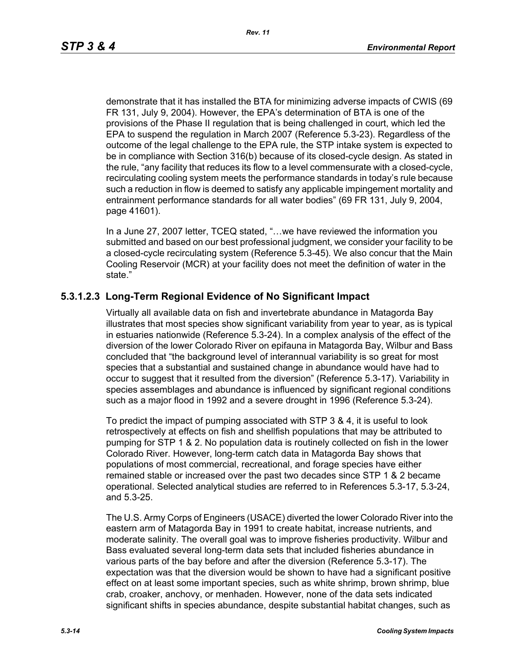demonstrate that it has installed the BTA for minimizing adverse impacts of CWIS (69 FR 131, July 9, 2004). However, the EPA's determination of BTA is one of the provisions of the Phase II regulation that is being challenged in court, which led the EPA to suspend the regulation in March 2007 (Reference 5.3-23). Regardless of the outcome of the legal challenge to the EPA rule, the STP intake system is expected to be in compliance with Section 316(b) because of its closed-cycle design. As stated in the rule, "any facility that reduces its flow to a level commensurate with a closed-cycle, recirculating cooling system meets the performance standards in today's rule because such a reduction in flow is deemed to satisfy any applicable impingement mortality and entrainment performance standards for all water bodies" (69 FR 131, July 9, 2004, page 41601).

In a June 27, 2007 letter, TCEQ stated, "…we have reviewed the information you submitted and based on our best professional judgment, we consider your facility to be a closed-cycle recirculating system (Reference 5.3-45). We also concur that the Main Cooling Reservoir (MCR) at your facility does not meet the definition of water in the state."

## **5.3.1.2.3 Long-Term Regional Evidence of No Significant Impact**

Virtually all available data on fish and invertebrate abundance in Matagorda Bay illustrates that most species show significant variability from year to year, as is typical in estuaries nationwide (Reference 5.3-24). In a complex analysis of the effect of the diversion of the lower Colorado River on epifauna in Matagorda Bay, Wilbur and Bass concluded that "the background level of interannual variability is so great for most species that a substantial and sustained change in abundance would have had to occur to suggest that it resulted from the diversion" (Reference 5.3-17). Variability in species assemblages and abundance is influenced by significant regional conditions such as a major flood in 1992 and a severe drought in 1996 (Reference 5.3-24).

To predict the impact of pumping associated with STP 3 & 4, it is useful to look retrospectively at effects on fish and shellfish populations that may be attributed to pumping for STP 1 & 2. No population data is routinely collected on fish in the lower Colorado River. However, long-term catch data in Matagorda Bay shows that populations of most commercial, recreational, and forage species have either remained stable or increased over the past two decades since STP 1 & 2 became operational. Selected analytical studies are referred to in References 5.3-17, 5.3-24, and 5.3-25.

The U.S. Army Corps of Engineers (USACE) diverted the lower Colorado River into the eastern arm of Matagorda Bay in 1991 to create habitat, increase nutrients, and moderate salinity. The overall goal was to improve fisheries productivity. Wilbur and Bass evaluated several long-term data sets that included fisheries abundance in various parts of the bay before and after the diversion (Reference 5.3-17). The expectation was that the diversion would be shown to have had a significant positive effect on at least some important species, such as white shrimp, brown shrimp, blue crab, croaker, anchovy, or menhaden. However, none of the data sets indicated significant shifts in species abundance, despite substantial habitat changes, such as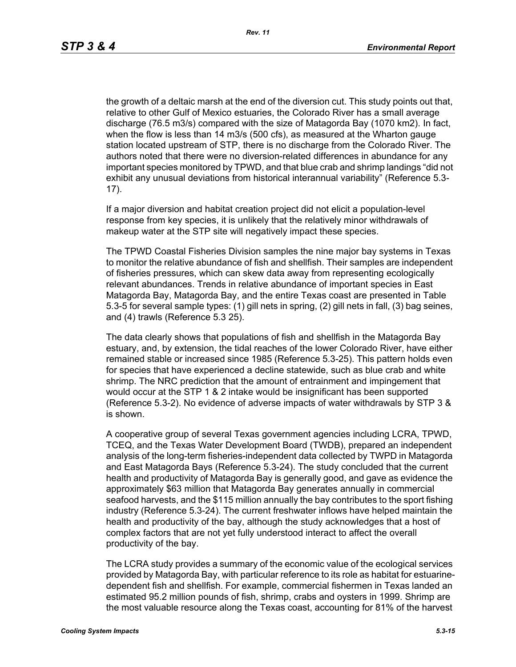the growth of a deltaic marsh at the end of the diversion cut. This study points out that, relative to other Gulf of Mexico estuaries, the Colorado River has a small average discharge (76.5 m3/s) compared with the size of Matagorda Bay (1070 km2). In fact, when the flow is less than 14 m3/s (500 cfs), as measured at the Wharton gauge station located upstream of STP, there is no discharge from the Colorado River. The authors noted that there were no diversion-related differences in abundance for any important species monitored by TPWD, and that blue crab and shrimp landings "did not exhibit any unusual deviations from historical interannual variability" (Reference 5.3- 17).

If a major diversion and habitat creation project did not elicit a population-level response from key species, it is unlikely that the relatively minor withdrawals of makeup water at the STP site will negatively impact these species.

The TPWD Coastal Fisheries Division samples the nine major bay systems in Texas to monitor the relative abundance of fish and shellfish. Their samples are independent of fisheries pressures, which can skew data away from representing ecologically relevant abundances. Trends in relative abundance of important species in East Matagorda Bay, Matagorda Bay, and the entire Texas coast are presented in Table 5.3-5 for several sample types: (1) gill nets in spring, (2) gill nets in fall, (3) bag seines, and (4) trawls (Reference 5.3 25).

The data clearly shows that populations of fish and shellfish in the Matagorda Bay estuary, and, by extension, the tidal reaches of the lower Colorado River, have either remained stable or increased since 1985 (Reference 5.3-25). This pattern holds even for species that have experienced a decline statewide, such as blue crab and white shrimp. The NRC prediction that the amount of entrainment and impingement that would occur at the STP 1 & 2 intake would be insignificant has been supported (Reference 5.3-2). No evidence of adverse impacts of water withdrawals by STP 3 & is shown.

A cooperative group of several Texas government agencies including LCRA, TPWD, TCEQ, and the Texas Water Development Board (TWDB), prepared an independent analysis of the long-term fisheries-independent data collected by TWPD in Matagorda and East Matagorda Bays (Reference 5.3-24). The study concluded that the current health and productivity of Matagorda Bay is generally good, and gave as evidence the approximately \$63 million that Matagorda Bay generates annually in commercial seafood harvests, and the \$115 million annually the bay contributes to the sport fishing industry (Reference 5.3-24). The current freshwater inflows have helped maintain the health and productivity of the bay, although the study acknowledges that a host of complex factors that are not yet fully understood interact to affect the overall productivity of the bay.

The LCRA study provides a summary of the economic value of the ecological services provided by Matagorda Bay, with particular reference to its role as habitat for estuarinedependent fish and shellfish. For example, commercial fishermen in Texas landed an estimated 95.2 million pounds of fish, shrimp, crabs and oysters in 1999. Shrimp are the most valuable resource along the Texas coast, accounting for 81% of the harvest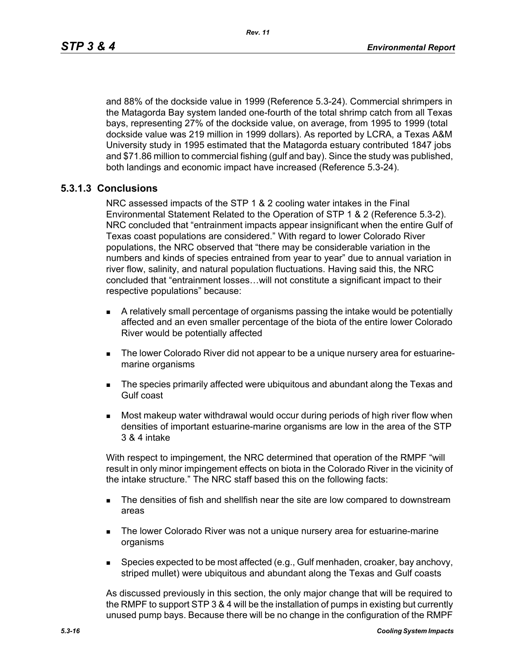and 88% of the dockside value in 1999 (Reference 5.3-24). Commercial shrimpers in the Matagorda Bay system landed one-fourth of the total shrimp catch from all Texas bays, representing 27% of the dockside value, on average, from 1995 to 1999 (total dockside value was 219 million in 1999 dollars). As reported by LCRA, a Texas A&M University study in 1995 estimated that the Matagorda estuary contributed 1847 jobs and \$71.86 million to commercial fishing (gulf and bay). Since the study was published, both landings and economic impact have increased (Reference 5.3-24).

### **5.3.1.3 Conclusions**

NRC assessed impacts of the STP 1 & 2 cooling water intakes in the Final Environmental Statement Related to the Operation of STP 1 & 2 (Reference 5.3-2). NRC concluded that "entrainment impacts appear insignificant when the entire Gulf of Texas coast populations are considered." With regard to lower Colorado River populations, the NRC observed that "there may be considerable variation in the numbers and kinds of species entrained from year to year" due to annual variation in river flow, salinity, and natural population fluctuations. Having said this, the NRC concluded that "entrainment losses…will not constitute a significant impact to their respective populations" because:

- A relatively small percentage of organisms passing the intake would be potentially affected and an even smaller percentage of the biota of the entire lower Colorado River would be potentially affected
- The lower Colorado River did not appear to be a unique nursery area for estuarinemarine organisms
- **The species primarily affected were ubiquitous and abundant along the Texas and** Gulf coast
- Most makeup water withdrawal would occur during periods of high river flow when densities of important estuarine-marine organisms are low in the area of the STP 3 & 4 intake

With respect to impingement, the NRC determined that operation of the RMPF "will result in only minor impingement effects on biota in the Colorado River in the vicinity of the intake structure." The NRC staff based this on the following facts:

- **The densities of fish and shellfish near the site are low compared to downstream** areas
- **The lower Colorado River was not a unique nursery area for estuarine-marine** organisms
- **Species expected to be most affected (e.g., Gulf menhaden, croaker, bay anchovy,** striped mullet) were ubiquitous and abundant along the Texas and Gulf coasts

As discussed previously in this section, the only major change that will be required to the RMPF to support STP 3 & 4 will be the installation of pumps in existing but currently unused pump bays. Because there will be no change in the configuration of the RMPF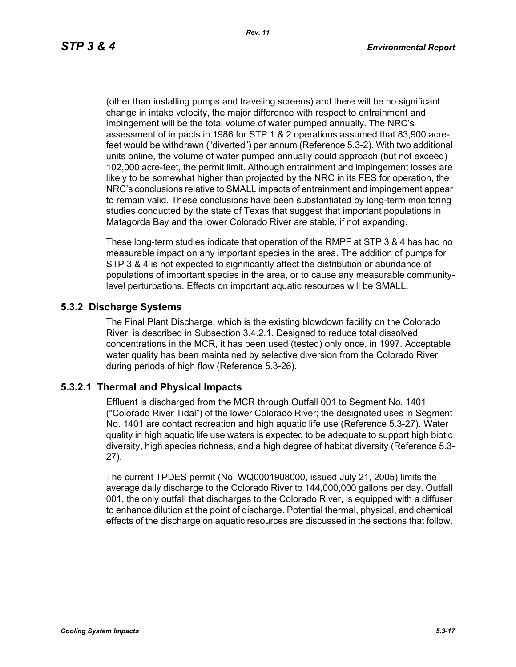(other than installing pumps and traveling screens) and there will be no significant change in intake velocity, the major difference with respect to entrainment and impingement will be the total volume of water pumped annually. The NRC's assessment of impacts in 1986 for STP 1 & 2 operations assumed that 83,900 acrefeet would be withdrawn ("diverted") per annum (Reference 5.3-2). With two additional units online, the volume of water pumped annually could approach (but not exceed) 102,000 acre-feet, the permit limit. Although entrainment and impingement losses are likely to be somewhat higher than projected by the NRC in its FES for operation, the NRC's conclusions relative to SMALL impacts of entrainment and impingement appear to remain valid. These conclusions have been substantiated by long-term monitoring studies conducted by the state of Texas that suggest that important populations in Matagorda Bay and the lower Colorado River are stable, if not expanding.

These long-term studies indicate that operation of the RMPF at STP 3 & 4 has had no measurable impact on any important species in the area. The addition of pumps for STP 3 & 4 is not expected to significantly affect the distribution or abundance of populations of important species in the area, or to cause any measurable communitylevel perturbations. Effects on important aquatic resources will be SMALL.

## **5.3.2 Discharge Systems**

The Final Plant Discharge, which is the existing blowdown facility on the Colorado River, is described in Subsection 3.4.2.1. Designed to reduce total dissolved concentrations in the MCR, it has been used (tested) only once, in 1997. Acceptable water quality has been maintained by selective diversion from the Colorado River during periods of high flow (Reference 5.3-26).

### **5.3.2.1 Thermal and Physical Impacts**

Effluent is discharged from the MCR through Outfall 001 to Segment No. 1401 ("Colorado River Tidal") of the lower Colorado River; the designated uses in Segment No. 1401 are contact recreation and high aquatic life use (Reference 5.3-27). Water quality in high aquatic life use waters is expected to be adequate to support high biotic diversity, high species richness, and a high degree of habitat diversity (Reference 5.3- 27).

The current TPDES permit (No. WQ0001908000, issued July 21, 2005) limits the average daily discharge to the Colorado River to 144,000,000 gallons per day. Outfall 001, the only outfall that discharges to the Colorado River, is equipped with a diffuser to enhance dilution at the point of discharge. Potential thermal, physical, and chemical effects of the discharge on aquatic resources are discussed in the sections that follow.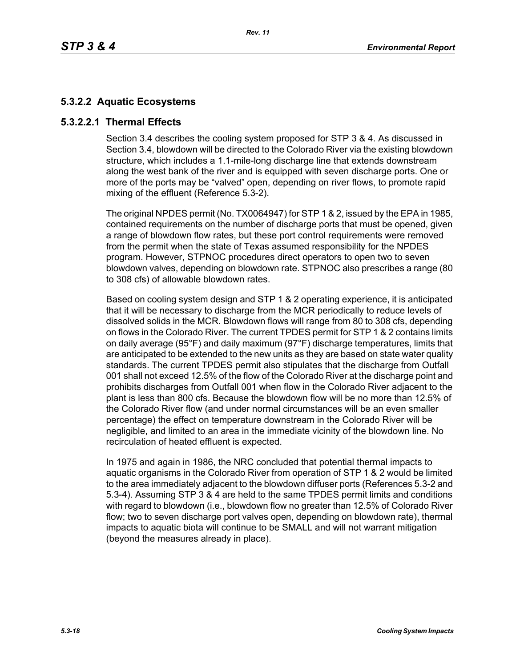# **5.3.2.2 Aquatic Ecosystems**

## **5.3.2.2.1 Thermal Effects**

Section 3.4 describes the cooling system proposed for STP 3 & 4. As discussed in Section 3.4, blowdown will be directed to the Colorado River via the existing blowdown structure, which includes a 1.1-mile-long discharge line that extends downstream along the west bank of the river and is equipped with seven discharge ports. One or more of the ports may be "valved" open, depending on river flows, to promote rapid mixing of the effluent (Reference 5.3-2).

The original NPDES permit (No. TX0064947) for STP 1 & 2, issued by the EPA in 1985, contained requirements on the number of discharge ports that must be opened, given a range of blowdown flow rates, but these port control requirements were removed from the permit when the state of Texas assumed responsibility for the NPDES program. However, STPNOC procedures direct operators to open two to seven blowdown valves, depending on blowdown rate. STPNOC also prescribes a range (80 to 308 cfs) of allowable blowdown rates.

Based on cooling system design and STP 1 & 2 operating experience, it is anticipated that it will be necessary to discharge from the MCR periodically to reduce levels of dissolved solids in the MCR. Blowdown flows will range from 80 to 308 cfs, depending on flows in the Colorado River. The current TPDES permit for STP 1 & 2 contains limits on daily average (95°F) and daily maximum (97°F) discharge temperatures, limits that are anticipated to be extended to the new units as they are based on state water quality standards. The current TPDES permit also stipulates that the discharge from Outfall 001 shall not exceed 12.5% of the flow of the Colorado River at the discharge point and prohibits discharges from Outfall 001 when flow in the Colorado River adjacent to the plant is less than 800 cfs. Because the blowdown flow will be no more than 12.5% of the Colorado River flow (and under normal circumstances will be an even smaller percentage) the effect on temperature downstream in the Colorado River will be negligible, and limited to an area in the immediate vicinity of the blowdown line. No recirculation of heated effluent is expected.

In 1975 and again in 1986, the NRC concluded that potential thermal impacts to aquatic organisms in the Colorado River from operation of STP 1 & 2 would be limited to the area immediately adjacent to the blowdown diffuser ports (References 5.3-2 and 5.3-4). Assuming STP 3 & 4 are held to the same TPDES permit limits and conditions with regard to blowdown (i.e., blowdown flow no greater than 12.5% of Colorado River flow; two to seven discharge port valves open, depending on blowdown rate), thermal impacts to aquatic biota will continue to be SMALL and will not warrant mitigation (beyond the measures already in place).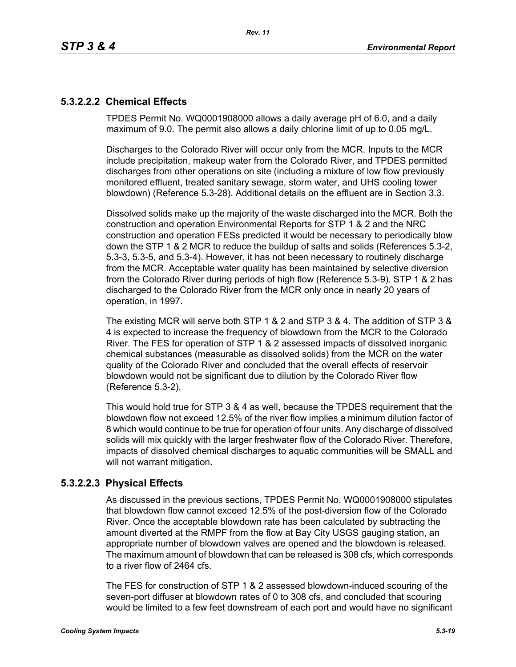# **5.3.2.2.2 Chemical Effects**

TPDES Permit No. WQ0001908000 allows a daily average pH of 6.0, and a daily maximum of 9.0. The permit also allows a daily chlorine limit of up to 0.05 mg/L.

Discharges to the Colorado River will occur only from the MCR. Inputs to the MCR include precipitation, makeup water from the Colorado River, and TPDES permitted discharges from other operations on site (including a mixture of low flow previously monitored effluent, treated sanitary sewage, storm water, and UHS cooling tower blowdown) (Reference 5.3-28). Additional details on the effluent are in Section 3.3.

Dissolved solids make up the majority of the waste discharged into the MCR. Both the construction and operation Environmental Reports for STP 1 & 2 and the NRC construction and operation FESs predicted it would be necessary to periodically blow down the STP 1 & 2 MCR to reduce the buildup of salts and solids (References 5.3-2, 5.3-3, 5.3-5, and 5.3-4). However, it has not been necessary to routinely discharge from the MCR. Acceptable water quality has been maintained by selective diversion from the Colorado River during periods of high flow (Reference 5.3-9). STP 1 & 2 has discharged to the Colorado River from the MCR only once in nearly 20 years of operation, in 1997.

The existing MCR will serve both STP 1 & 2 and STP 3 & 4. The addition of STP 3 & 4 is expected to increase the frequency of blowdown from the MCR to the Colorado River. The FES for operation of STP 1 & 2 assessed impacts of dissolved inorganic chemical substances (measurable as dissolved solids) from the MCR on the water quality of the Colorado River and concluded that the overall effects of reservoir blowdown would not be significant due to dilution by the Colorado River flow (Reference 5.3-2).

This would hold true for STP 3 & 4 as well, because the TPDES requirement that the blowdown flow not exceed 12.5% of the river flow implies a minimum dilution factor of 8 which would continue to be true for operation of four units. Any discharge of dissolved solids will mix quickly with the larger freshwater flow of the Colorado River. Therefore, impacts of dissolved chemical discharges to aquatic communities will be SMALL and will not warrant mitigation.

## **5.3.2.2.3 Physical Effects**

As discussed in the previous sections, TPDES Permit No. WQ0001908000 stipulates that blowdown flow cannot exceed 12.5% of the post-diversion flow of the Colorado River. Once the acceptable blowdown rate has been calculated by subtracting the amount diverted at the RMPF from the flow at Bay City USGS gauging station, an appropriate number of blowdown valves are opened and the blowdown is released. The maximum amount of blowdown that can be released is 308 cfs, which corresponds to a river flow of 2464 cfs.

The FES for construction of STP 1 & 2 assessed blowdown-induced scouring of the seven-port diffuser at blowdown rates of 0 to 308 cfs, and concluded that scouring would be limited to a few feet downstream of each port and would have no significant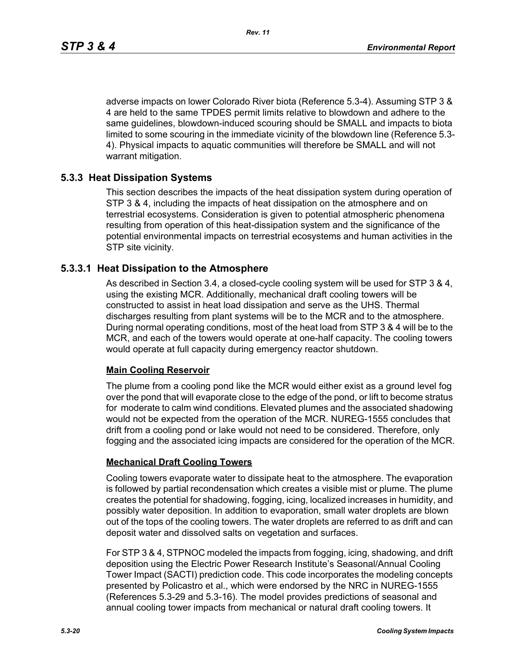adverse impacts on lower Colorado River biota (Reference 5.3-4). Assuming STP 3 & 4 are held to the same TPDES permit limits relative to blowdown and adhere to the same guidelines, blowdown-induced scouring should be SMALL and impacts to biota limited to some scouring in the immediate vicinity of the blowdown line (Reference 5.3- 4). Physical impacts to aquatic communities will therefore be SMALL and will not warrant mitigation.

## **5.3.3 Heat Dissipation Systems**

This section describes the impacts of the heat dissipation system during operation of STP 3 & 4, including the impacts of heat dissipation on the atmosphere and on terrestrial ecosystems. Consideration is given to potential atmospheric phenomena resulting from operation of this heat-dissipation system and the significance of the potential environmental impacts on terrestrial ecosystems and human activities in the STP site vicinity.

### **5.3.3.1 Heat Dissipation to the Atmosphere**

As described in Section 3.4, a closed-cycle cooling system will be used for STP 3 & 4, using the existing MCR. Additionally, mechanical draft cooling towers will be constructed to assist in heat load dissipation and serve as the UHS. Thermal discharges resulting from plant systems will be to the MCR and to the atmosphere. During normal operating conditions, most of the heat load from STP 3 & 4 will be to the MCR, and each of the towers would operate at one-half capacity. The cooling towers would operate at full capacity during emergency reactor shutdown.

### **Main Cooling Reservoir**

The plume from a cooling pond like the MCR would either exist as a ground level fog over the pond that will evaporate close to the edge of the pond, or lift to become stratus for moderate to calm wind conditions. Elevated plumes and the associated shadowing would not be expected from the operation of the MCR. NUREG-1555 concludes that drift from a cooling pond or lake would not need to be considered. Therefore, only fogging and the associated icing impacts are considered for the operation of the MCR.

### **Mechanical Draft Cooling Towers**

Cooling towers evaporate water to dissipate heat to the atmosphere. The evaporation is followed by partial recondensation which creates a visible mist or plume. The plume creates the potential for shadowing, fogging, icing, localized increases in humidity, and possibly water deposition. In addition to evaporation, small water droplets are blown out of the tops of the cooling towers. The water droplets are referred to as drift and can deposit water and dissolved salts on vegetation and surfaces.

For STP 3 & 4, STPNOC modeled the impacts from fogging, icing, shadowing, and drift deposition using the Electric Power Research Institute's Seasonal/Annual Cooling Tower Impact (SACTI) prediction code. This code incorporates the modeling concepts presented by Policastro et al., which were endorsed by the NRC in NUREG-1555 (References 5.3-29 and 5.3-16). The model provides predictions of seasonal and annual cooling tower impacts from mechanical or natural draft cooling towers. It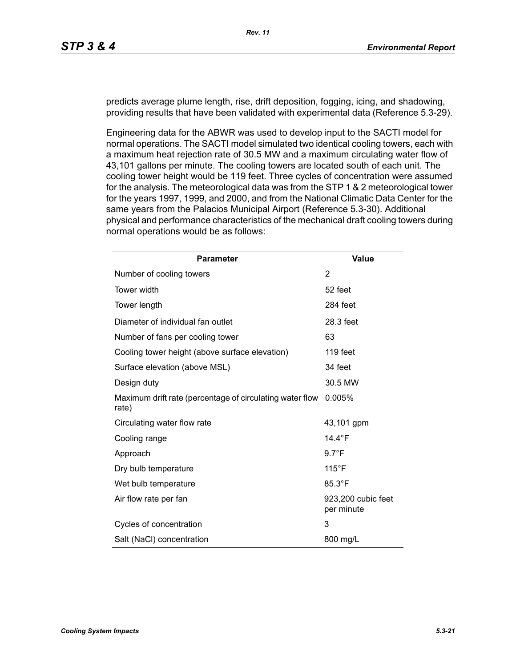predicts average plume length, rise, drift deposition, fogging, icing, and shadowing, providing results that have been validated with experimental data (Reference 5.3-29).

Engineering data for the ABWR was used to develop input to the SACTI model for normal operations. The SACTI model simulated two identical cooling towers, each with a maximum heat rejection rate of 30.5 MW and a maximum circulating water flow of 43,101 gallons per minute. The cooling towers are located south of each unit. The cooling tower height would be 119 feet. Three cycles of concentration were assumed for the analysis. The meteorological data was from the STP 1 & 2 meteorological tower for the years 1997, 1999, and 2000, and from the National Climatic Data Center for the same years from the Palacios Municipal Airport (Reference 5.3-30). Additional physical and performance characteristics of the mechanical draft cooling towers during normal operations would be as follows:

| <b>Parameter</b>                                                  | <b>Value</b>                     |
|-------------------------------------------------------------------|----------------------------------|
| Number of cooling towers                                          | 2                                |
| Tower width                                                       | 52 feet                          |
| Tower length                                                      | 284 feet                         |
| Diameter of individual fan outlet                                 | 28.3 feet                        |
| Number of fans per cooling tower                                  | 63                               |
| Cooling tower height (above surface elevation)                    | 119 feet                         |
| Surface elevation (above MSL)                                     | 34 feet                          |
| Design duty                                                       | 30.5 MW                          |
| Maximum drift rate (percentage of circulating water flow<br>rate) | 0.005%                           |
| Circulating water flow rate                                       | 43,101 gpm                       |
| Cooling range                                                     | 14.4 $\degree$ F                 |
| Approach                                                          | $9.7^{\circ}F$                   |
| Dry bulb temperature                                              | $115^{\circ}$ F                  |
| Wet bulb temperature                                              | 85.3°F                           |
| Air flow rate per fan                                             | 923,200 cubic feet<br>per minute |
| Cycles of concentration                                           | 3                                |
| Salt (NaCl) concentration                                         | 800 mg/L                         |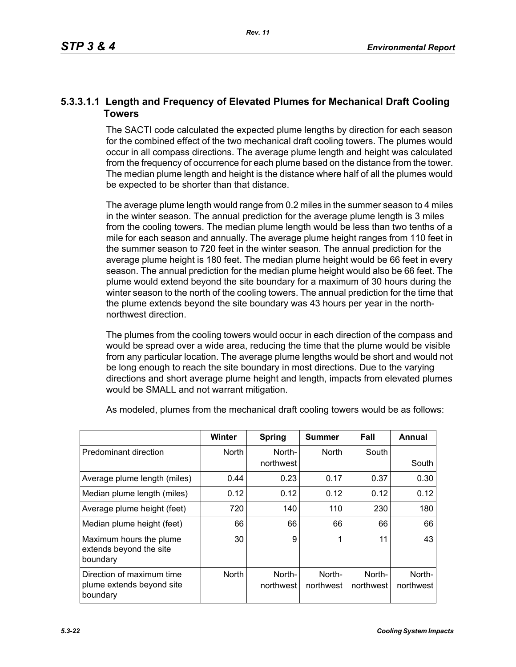## **5.3.3.1.1 Length and Frequency of Elevated Plumes for Mechanical Draft Cooling Towers**

The SACTI code calculated the expected plume lengths by direction for each season for the combined effect of the two mechanical draft cooling towers. The plumes would occur in all compass directions. The average plume length and height was calculated from the frequency of occurrence for each plume based on the distance from the tower. The median plume length and height is the distance where half of all the plumes would be expected to be shorter than that distance.

The average plume length would range from 0.2 miles in the summer season to 4 miles in the winter season. The annual prediction for the average plume length is 3 miles from the cooling towers. The median plume length would be less than two tenths of a mile for each season and annually. The average plume height ranges from 110 feet in the summer season to 720 feet in the winter season. The annual prediction for the average plume height is 180 feet. The median plume height would be 66 feet in every season. The annual prediction for the median plume height would also be 66 feet. The plume would extend beyond the site boundary for a maximum of 30 hours during the winter season to the north of the cooling towers. The annual prediction for the time that the plume extends beyond the site boundary was 43 hours per year in the northnorthwest direction.

The plumes from the cooling towers would occur in each direction of the compass and would be spread over a wide area, reducing the time that the plume would be visible from any particular location. The average plume lengths would be short and would not be long enough to reach the site boundary in most directions. Due to the varying directions and short average plume height and length, impacts from elevated plumes would be SMALL and not warrant mitigation.

|                                                                    | <b>Winter</b> | Spring              | Summer              | Fall                | Annual              |
|--------------------------------------------------------------------|---------------|---------------------|---------------------|---------------------|---------------------|
| Predominant direction                                              | <b>North</b>  | North-<br>northwest | <b>North</b>        | South               | South               |
| Average plume length (miles)                                       | 0.44          | 0.23                | 0.17                | 0.37                | 0.30                |
| Median plume length (miles)                                        | 0.12          | 0.12                | 0.12                | 0.12                | 0.12                |
| Average plume height (feet)                                        | 720           | 140                 | 110                 | 230                 | 180                 |
| Median plume height (feet)                                         | 66            | 66                  | 66                  | 66                  | 66                  |
| Maximum hours the plume<br>extends beyond the site<br>boundary     | 30            | 9                   | 1                   | 11                  | 43                  |
| Direction of maximum time<br>plume extends beyond site<br>boundary | <b>North</b>  | North-<br>northwest | North-<br>northwest | North-<br>northwest | North-<br>northwest |

As modeled, plumes from the mechanical draft cooling towers would be as follows: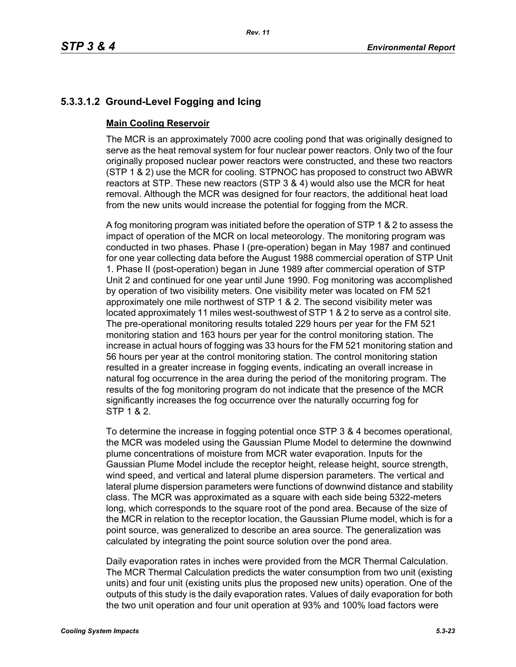# **5.3.3.1.2 Ground-Level Fogging and Icing**

## **Main Cooling Reservoir**

The MCR is an approximately 7000 acre cooling pond that was originally designed to serve as the heat removal system for four nuclear power reactors. Only two of the four originally proposed nuclear power reactors were constructed, and these two reactors (STP 1 & 2) use the MCR for cooling. STPNOC has proposed to construct two ABWR reactors at STP. These new reactors (STP 3 & 4) would also use the MCR for heat removal. Although the MCR was designed for four reactors, the additional heat load from the new units would increase the potential for fogging from the MCR.

A fog monitoring program was initiated before the operation of STP 1 & 2 to assess the impact of operation of the MCR on local meteorology. The monitoring program was conducted in two phases. Phase I (pre-operation) began in May 1987 and continued for one year collecting data before the August 1988 commercial operation of STP Unit 1. Phase II (post-operation) began in June 1989 after commercial operation of STP Unit 2 and continued for one year until June 1990. Fog monitoring was accomplished by operation of two visibility meters. One visibility meter was located on FM 521 approximately one mile northwest of STP 1 & 2. The second visibility meter was located approximately 11 miles west-southwest of STP 1 & 2 to serve as a control site. The pre-operational monitoring results totaled 229 hours per year for the FM 521 monitoring station and 163 hours per year for the control monitoring station. The increase in actual hours of fogging was 33 hours for the FM 521 monitoring station and 56 hours per year at the control monitoring station. The control monitoring station resulted in a greater increase in fogging events, indicating an overall increase in natural fog occurrence in the area during the period of the monitoring program. The results of the fog monitoring program do not indicate that the presence of the MCR significantly increases the fog occurrence over the naturally occurring fog for STP 1 & 2.

To determine the increase in fogging potential once STP 3 & 4 becomes operational, the MCR was modeled using the Gaussian Plume Model to determine the downwind plume concentrations of moisture from MCR water evaporation. Inputs for the Gaussian Plume Model include the receptor height, release height, source strength, wind speed, and vertical and lateral plume dispersion parameters. The vertical and lateral plume dispersion parameters were functions of downwind distance and stability class. The MCR was approximated as a square with each side being 5322-meters long, which corresponds to the square root of the pond area. Because of the size of the MCR in relation to the receptor location, the Gaussian Plume model, which is for a point source, was generalized to describe an area source. The generalization was calculated by integrating the point source solution over the pond area.

Daily evaporation rates in inches were provided from the MCR Thermal Calculation. The MCR Thermal Calculation predicts the water consumption from two unit (existing units) and four unit (existing units plus the proposed new units) operation. One of the outputs of this study is the daily evaporation rates. Values of daily evaporation for both the two unit operation and four unit operation at 93% and 100% load factors were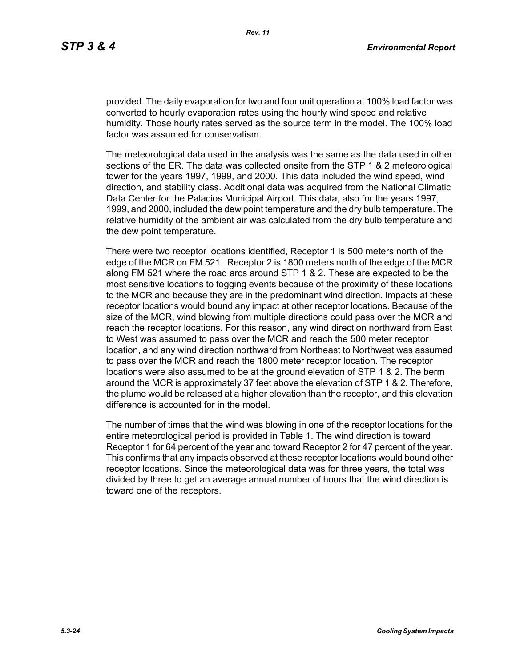provided. The daily evaporation for two and four unit operation at 100% load factor was converted to hourly evaporation rates using the hourly wind speed and relative humidity. Those hourly rates served as the source term in the model. The 100% load factor was assumed for conservatism.

The meteorological data used in the analysis was the same as the data used in other sections of the ER. The data was collected onsite from the STP 1 & 2 meteorological tower for the years 1997, 1999, and 2000. This data included the wind speed, wind direction, and stability class. Additional data was acquired from the National Climatic Data Center for the Palacios Municipal Airport. This data, also for the years 1997, 1999, and 2000, included the dew point temperature and the dry bulb temperature. The relative humidity of the ambient air was calculated from the dry bulb temperature and the dew point temperature.

There were two receptor locations identified, Receptor 1 is 500 meters north of the edge of the MCR on FM 521. Receptor 2 is 1800 meters north of the edge of the MCR along FM 521 where the road arcs around STP 1 & 2. These are expected to be the most sensitive locations to fogging events because of the proximity of these locations to the MCR and because they are in the predominant wind direction. Impacts at these receptor locations would bound any impact at other receptor locations. Because of the size of the MCR, wind blowing from multiple directions could pass over the MCR and reach the receptor locations. For this reason, any wind direction northward from East to West was assumed to pass over the MCR and reach the 500 meter receptor location, and any wind direction northward from Northeast to Northwest was assumed to pass over the MCR and reach the 1800 meter receptor location. The receptor locations were also assumed to be at the ground elevation of STP 1 & 2. The berm around the MCR is approximately 37 feet above the elevation of STP 1 & 2. Therefore, the plume would be released at a higher elevation than the receptor, and this elevation difference is accounted for in the model.

The number of times that the wind was blowing in one of the receptor locations for the entire meteorological period is provided in Table 1. The wind direction is toward Receptor 1 for 64 percent of the year and toward Receptor 2 for 47 percent of the year. This confirms that any impacts observed at these receptor locations would bound other receptor locations. Since the meteorological data was for three years, the total was divided by three to get an average annual number of hours that the wind direction is toward one of the receptors.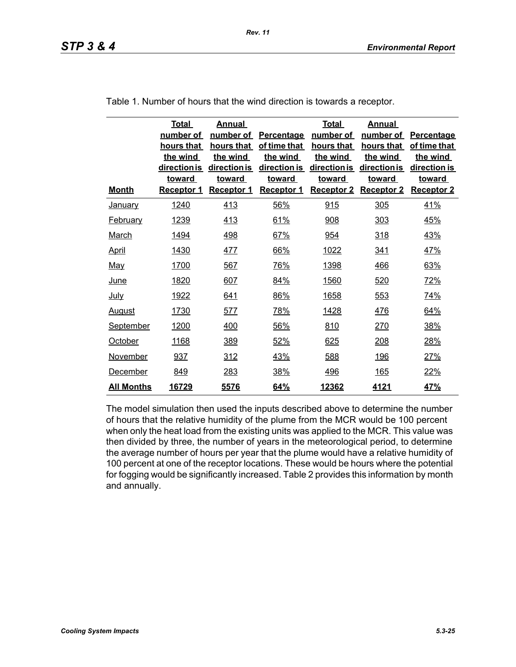| <b>Month</b>      | <b>Total</b><br>number of<br>hours that<br>the wind<br>direction is<br><b>toward</b><br><b>Receptor 1</b> | Annual<br>number of<br>hours that<br>the wind<br>direction is<br><u>toward</u><br><b>Receptor 1</b> | <b>Percentage</b><br>of time that<br>the wind<br>direction is<br><u>toward</u><br><b>Receptor 1</b> | <b>Total</b><br>number of<br>hours that<br>the wind<br>direction is<br><u>toward</u><br><b>Receptor 2</b> | Annual<br>number of<br>hours that<br>the wind<br>direction is<br>toward<br><b>Receptor 2</b> | <b>Percentage</b><br>of time that<br>the wind<br>direction is<br><u>toward</u><br><b>Receptor 2</b> |
|-------------------|-----------------------------------------------------------------------------------------------------------|-----------------------------------------------------------------------------------------------------|-----------------------------------------------------------------------------------------------------|-----------------------------------------------------------------------------------------------------------|----------------------------------------------------------------------------------------------|-----------------------------------------------------------------------------------------------------|
| <b>January</b>    | 1240                                                                                                      | 413                                                                                                 | 56%                                                                                                 | 915                                                                                                       | 305                                                                                          | <u>41%</u>                                                                                          |
| <b>February</b>   | 1239                                                                                                      | 413                                                                                                 | 61%                                                                                                 | 908                                                                                                       | 303                                                                                          | 45%                                                                                                 |
| <b>March</b>      | 1494                                                                                                      | 498                                                                                                 | 67%                                                                                                 | 954                                                                                                       | 318                                                                                          | 43%                                                                                                 |
| <u>April</u>      | 1430                                                                                                      | 477                                                                                                 | 66%                                                                                                 | 1022                                                                                                      | 341                                                                                          | 47%                                                                                                 |
| <u>May</u>        | 1700                                                                                                      | 567                                                                                                 | 76%                                                                                                 | 1398                                                                                                      | 466                                                                                          | 63%                                                                                                 |
| <u>June</u>       | 1820                                                                                                      | 607                                                                                                 | 84%                                                                                                 | 1560                                                                                                      | 520                                                                                          | 72%                                                                                                 |
| <u>July</u>       | 1922                                                                                                      | 641                                                                                                 | 86%                                                                                                 | 1658                                                                                                      | 553                                                                                          | 74%                                                                                                 |
| <u>August</u>     | 1730                                                                                                      | 577                                                                                                 | 78%                                                                                                 | 1428                                                                                                      | 476                                                                                          | 64%                                                                                                 |
| September         | 1200                                                                                                      | 400                                                                                                 | 56%                                                                                                 | 810                                                                                                       | 270                                                                                          | 38%                                                                                                 |
| October           | 1168                                                                                                      | 389                                                                                                 | 52%                                                                                                 | 625                                                                                                       | <u>208</u>                                                                                   | 28%                                                                                                 |
| November          | 937                                                                                                       | <u>312</u>                                                                                          | 43%                                                                                                 | 588                                                                                                       | <u>196</u>                                                                                   | 27%                                                                                                 |
| December          | 849                                                                                                       | 283                                                                                                 | 38%                                                                                                 | <u>496</u>                                                                                                | 165                                                                                          | 22%                                                                                                 |
| <b>All Months</b> | 16729                                                                                                     | 5576                                                                                                | 64%                                                                                                 | 12362                                                                                                     | 4121                                                                                         | 47%                                                                                                 |

Table 1. Number of hours that the wind direction is towards a receptor.

The model simulation then used the inputs described above to determine the number of hours that the relative humidity of the plume from the MCR would be 100 percent when only the heat load from the existing units was applied to the MCR. This value was then divided by three, the number of years in the meteorological period, to determine the average number of hours per year that the plume would have a relative humidity of 100 percent at one of the receptor locations. These would be hours where the potential for fogging would be significantly increased. Table 2 provides this information by month and annually.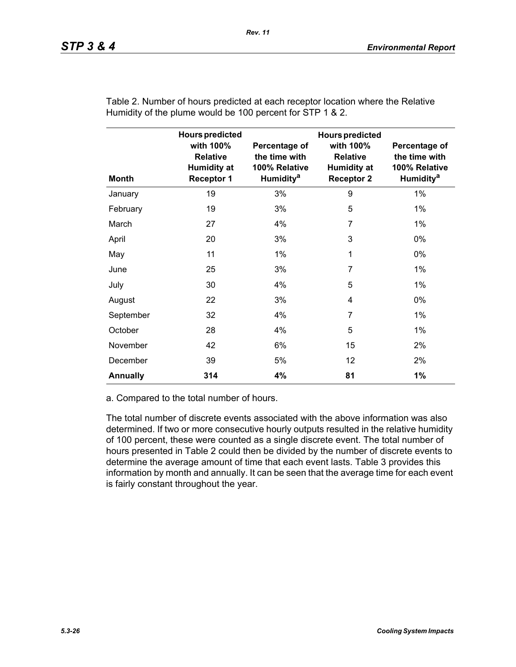| <b>Month</b>    | <b>Hours predicted</b><br>with 100%<br><b>Relative</b><br><b>Humidity at</b><br><b>Receptor 1</b> | Percentage of<br>the time with<br>100% Relative<br>Humidity <sup>a</sup> | <b>Hours predicted</b><br>with 100%<br><b>Relative</b><br><b>Humidity at</b><br><b>Receptor 2</b> | Percentage of<br>the time with<br>100% Relative<br><b>Humidity<sup>a</sup></b> |
|-----------------|---------------------------------------------------------------------------------------------------|--------------------------------------------------------------------------|---------------------------------------------------------------------------------------------------|--------------------------------------------------------------------------------|
| January         | 19                                                                                                | 3%                                                                       | 9                                                                                                 | 1%                                                                             |
| February        | 19                                                                                                | 3%                                                                       | 5                                                                                                 | $1\%$                                                                          |
| March           | 27                                                                                                | 4%                                                                       | 7                                                                                                 | 1%                                                                             |
| April           | 20                                                                                                | 3%                                                                       | 3                                                                                                 | $0\%$                                                                          |
| May             | 11                                                                                                | $1\%$                                                                    | 1                                                                                                 | $0\%$                                                                          |
| June            | 25                                                                                                | 3%                                                                       | $\overline{7}$                                                                                    | $1\%$                                                                          |
| July            | 30                                                                                                | 4%                                                                       | 5                                                                                                 | $1\%$                                                                          |
| August          | 22                                                                                                | 3%                                                                       | 4                                                                                                 | 0%                                                                             |
| September       | 32                                                                                                | 4%                                                                       | 7                                                                                                 | 1%                                                                             |
| October         | 28                                                                                                | 4%                                                                       | 5                                                                                                 | 1%                                                                             |
| November        | 42                                                                                                | 6%                                                                       | 15                                                                                                | 2%                                                                             |
| December        | 39                                                                                                | 5%                                                                       | 12                                                                                                | 2%                                                                             |
| <b>Annually</b> | 314                                                                                               | 4%                                                                       | 81                                                                                                | 1%                                                                             |

Table 2. Number of hours predicted at each receptor location where the Relative Humidity of the plume would be 100 percent for STP 1 & 2.

a. Compared to the total number of hours.

The total number of discrete events associated with the above information was also determined. If two or more consecutive hourly outputs resulted in the relative humidity of 100 percent, these were counted as a single discrete event. The total number of hours presented in Table 2 could then be divided by the number of discrete events to determine the average amount of time that each event lasts. Table 3 provides this information by month and annually. It can be seen that the average time for each event is fairly constant throughout the year.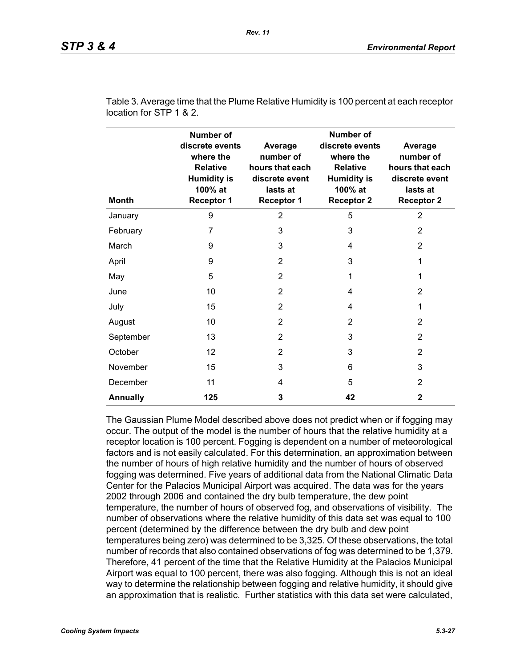| <b>Month</b>    | Number of<br>discrete events<br>where the<br><b>Relative</b><br><b>Humidity is</b><br>100% at<br><b>Receptor 1</b> | Average<br>number of<br>hours that each<br>discrete event<br>lasts at<br><b>Receptor 1</b> | Number of<br>discrete events<br>where the<br><b>Relative</b><br><b>Humidity is</b><br>100% at<br><b>Receptor 2</b> | Average<br>number of<br>hours that each<br>discrete event<br>lasts at<br><b>Receptor 2</b> |
|-----------------|--------------------------------------------------------------------------------------------------------------------|--------------------------------------------------------------------------------------------|--------------------------------------------------------------------------------------------------------------------|--------------------------------------------------------------------------------------------|
| January         | 9                                                                                                                  | $\overline{2}$                                                                             | 5                                                                                                                  | $\overline{2}$                                                                             |
| February        | $\overline{7}$                                                                                                     | 3                                                                                          | 3                                                                                                                  | 2                                                                                          |
| March           | 9                                                                                                                  | 3                                                                                          | 4                                                                                                                  | 2                                                                                          |
| April           | 9                                                                                                                  | $\overline{2}$                                                                             | 3                                                                                                                  | 1                                                                                          |
| May             | 5                                                                                                                  | $\overline{2}$                                                                             | 1                                                                                                                  | 1                                                                                          |
| June            | 10                                                                                                                 | $\overline{2}$                                                                             | 4                                                                                                                  | 2                                                                                          |
| July            | 15                                                                                                                 | $\overline{2}$                                                                             | 4                                                                                                                  | 1                                                                                          |
| August          | 10                                                                                                                 | 2                                                                                          | 2                                                                                                                  | 2                                                                                          |
| September       | 13                                                                                                                 | $\overline{2}$                                                                             | 3                                                                                                                  | 2                                                                                          |
| October         | 12                                                                                                                 | 2                                                                                          | 3                                                                                                                  | 2                                                                                          |
| November        | 15                                                                                                                 | 3                                                                                          | 6                                                                                                                  | 3                                                                                          |
| December        | 11                                                                                                                 | 4                                                                                          | 5                                                                                                                  | 2                                                                                          |
| <b>Annually</b> | 125                                                                                                                | 3                                                                                          | 42                                                                                                                 | $\mathbf{2}$                                                                               |

Table 3. Average time that the Plume Relative Humidity is 100 percent at each receptor location for STP 1 & 2.

The Gaussian Plume Model described above does not predict when or if fogging may occur. The output of the model is the number of hours that the relative humidity at a receptor location is 100 percent. Fogging is dependent on a number of meteorological factors and is not easily calculated. For this determination, an approximation between the number of hours of high relative humidity and the number of hours of observed fogging was determined. Five years of additional data from the National Climatic Data Center for the Palacios Municipal Airport was acquired. The data was for the years 2002 through 2006 and contained the dry bulb temperature, the dew point temperature, the number of hours of observed fog, and observations of visibility. The number of observations where the relative humidity of this data set was equal to 100 percent (determined by the difference between the dry bulb and dew point temperatures being zero) was determined to be 3,325. Of these observations, the total number of records that also contained observations of fog was determined to be 1,379. Therefore, 41 percent of the time that the Relative Humidity at the Palacios Municipal Airport was equal to 100 percent, there was also fogging. Although this is not an ideal way to determine the relationship between fogging and relative humidity, it should give an approximation that is realistic. Further statistics with this data set were calculated,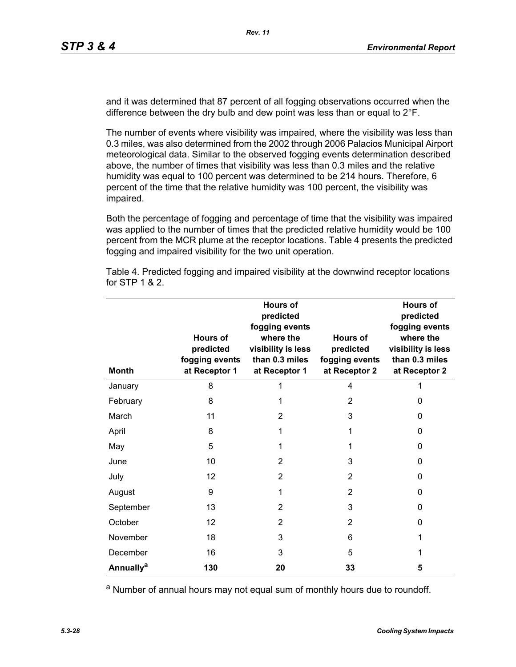and it was determined that 87 percent of all fogging observations occurred when the difference between the dry bulb and dew point was less than or equal to 2°F.

The number of events where visibility was impaired, where the visibility was less than 0.3 miles, was also determined from the 2002 through 2006 Palacios Municipal Airport meteorological data. Similar to the observed fogging events determination described above, the number of times that visibility was less than 0.3 miles and the relative humidity was equal to 100 percent was determined to be 214 hours. Therefore, 6 percent of the time that the relative humidity was 100 percent, the visibility was impaired.

Both the percentage of fogging and percentage of time that the visibility was impaired was applied to the number of times that the predicted relative humidity would be 100 percent from the MCR plume at the receptor locations. Table 4 presents the predicted fogging and impaired visibility for the two unit operation.

| <b>Month</b>                | Hours of<br>predicted<br>fogging events<br>at Receptor 1 | <b>Hours of</b><br>predicted<br>fogging events<br>where the<br>visibility is less<br>than 0.3 miles<br>at Receptor 1 | Hours of<br>predicted<br>fogging events<br>at Receptor 2 | <b>Hours of</b><br>predicted<br>fogging events<br>where the<br>visibility is less<br>than 0.3 miles<br>at Receptor 2 |
|-----------------------------|----------------------------------------------------------|----------------------------------------------------------------------------------------------------------------------|----------------------------------------------------------|----------------------------------------------------------------------------------------------------------------------|
| January                     | 8                                                        | 1                                                                                                                    | 4                                                        |                                                                                                                      |
| February                    | 8                                                        | 1                                                                                                                    | $\overline{2}$                                           | 0                                                                                                                    |
| March                       | 11                                                       | 2                                                                                                                    | 3                                                        | 0                                                                                                                    |
| April                       | 8                                                        | 1                                                                                                                    | 1                                                        | 0                                                                                                                    |
| May                         | 5                                                        | 1                                                                                                                    | 1                                                        | 0                                                                                                                    |
| June                        | 10                                                       | 2                                                                                                                    | 3                                                        | 0                                                                                                                    |
| July                        | 12                                                       | 2                                                                                                                    | 2                                                        | 0                                                                                                                    |
| August                      | 9                                                        | 1                                                                                                                    | $\overline{2}$                                           | 0                                                                                                                    |
| September                   | 13                                                       | 2                                                                                                                    | 3                                                        | 0                                                                                                                    |
| October                     | 12                                                       | 2                                                                                                                    | 2                                                        | 0                                                                                                                    |
| November                    | 18                                                       | 3                                                                                                                    | 6                                                        | 1                                                                                                                    |
| December                    | 16                                                       | 3                                                                                                                    | 5                                                        | 1                                                                                                                    |
| <b>Annually<sup>a</sup></b> | 130                                                      | 20                                                                                                                   | 33                                                       | 5                                                                                                                    |

Table 4. Predicted fogging and impaired visibility at the downwind receptor locations for STP 1 & 2.

a Number of annual hours may not equal sum of monthly hours due to roundoff.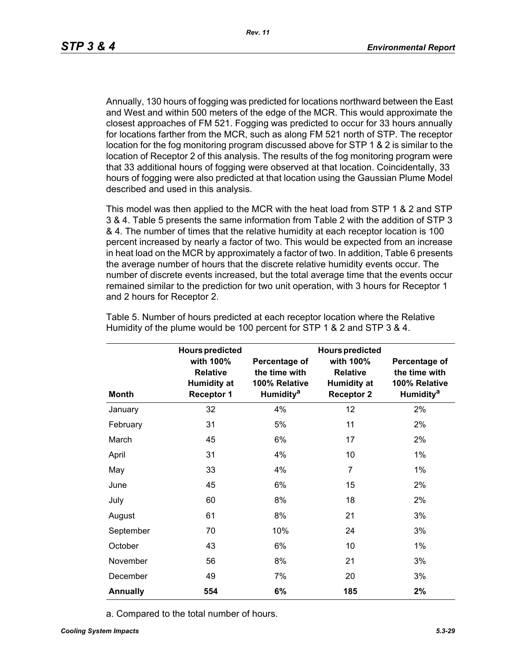Annually, 130 hours of fogging was predicted for locations northward between the East and West and within 500 meters of the edge of the MCR. This would approximate the closest approaches of FM 521. Fogging was predicted to occur for 33 hours annually for locations farther from the MCR, such as along FM 521 north of STP. The receptor location for the fog monitoring program discussed above for STP 1 & 2 is similar to the location of Receptor 2 of this analysis. The results of the fog monitoring program were that 33 additional hours of fogging were observed at that location. Coincidentally, 33 hours of fogging were also predicted at that location using the Gaussian Plume Model described and used in this analysis.

This model was then applied to the MCR with the heat load from STP 1 & 2 and STP 3 & 4. Table 5 presents the same information from Table 2 with the addition of STP 3 & 4. The number of times that the relative humidity at each receptor location is 100 percent increased by nearly a factor of two. This would be expected from an increase in heat load on the MCR by approximately a factor of two. In addition, Table 6 presents the average number of hours that the discrete relative humidity events occur. The number of discrete events increased, but the total average time that the events occur remained similar to the prediction for two unit operation, with 3 hours for Receptor 1 and 2 hours for Receptor 2.

|                 | <b>Hours predicted</b>                                                  |                                                                          | <b>Hours predicted</b>                                                  |                                                                                |
|-----------------|-------------------------------------------------------------------------|--------------------------------------------------------------------------|-------------------------------------------------------------------------|--------------------------------------------------------------------------------|
| <b>Month</b>    | with 100%<br><b>Relative</b><br><b>Humidity at</b><br><b>Receptor 1</b> | Percentage of<br>the time with<br>100% Relative<br>Humidity <sup>a</sup> | with 100%<br><b>Relative</b><br><b>Humidity at</b><br><b>Receptor 2</b> | Percentage of<br>the time with<br>100% Relative<br><b>Humidity<sup>a</sup></b> |
| January         | 32                                                                      | 4%                                                                       | 12                                                                      | 2%                                                                             |
| February        | 31                                                                      | 5%                                                                       | 11                                                                      | 2%                                                                             |
| March           | 45                                                                      | 6%                                                                       | 17                                                                      | 2%                                                                             |
| April           | 31                                                                      | 4%                                                                       | 10                                                                      | $1\%$                                                                          |
| May             | 33                                                                      | 4%                                                                       | $\overline{7}$                                                          | $1\%$                                                                          |
| June            | 45                                                                      | 6%                                                                       | 15                                                                      | 2%                                                                             |
| July            | 60                                                                      | 8%                                                                       | 18                                                                      | 2%                                                                             |
| August          | 61                                                                      | 8%                                                                       | 21                                                                      | 3%                                                                             |
| September       | 70                                                                      | 10%                                                                      | 24                                                                      | 3%                                                                             |
| October         | 43                                                                      | 6%                                                                       | 10                                                                      | $1\%$                                                                          |
| November        | 56                                                                      | 8%                                                                       | 21                                                                      | 3%                                                                             |
| December        | 49                                                                      | 7%                                                                       | 20                                                                      | 3%                                                                             |
| <b>Annually</b> | 554                                                                     | 6%                                                                       | 185                                                                     | 2%                                                                             |

Table 5. Number of hours predicted at each receptor location where the Relative Humidity of the plume would be 100 percent for STP 1 & 2 and STP 3 & 4.

a. Compared to the total number of hours.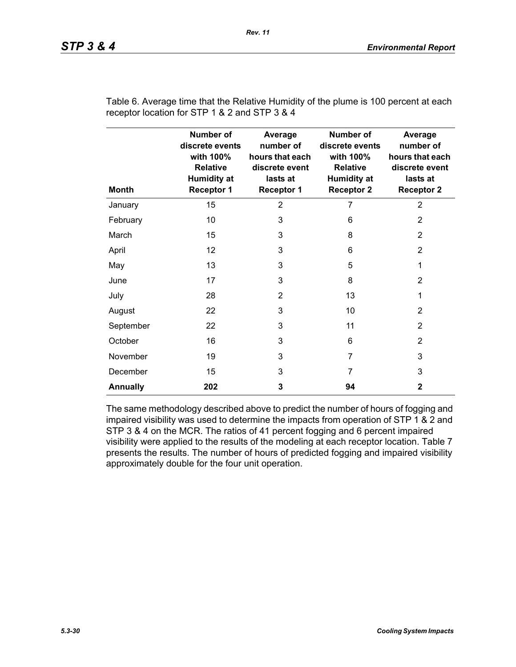| <b>Month</b>    | <b>Number of</b><br>discrete events<br>with 100%<br><b>Relative</b><br><b>Humidity at</b><br><b>Receptor 1</b> | Average<br>number of<br>hours that each<br>discrete event<br>lasts at<br><b>Receptor 1</b> | <b>Number of</b><br>discrete events<br>with 100%<br>Relative<br><b>Humidity at</b><br><b>Receptor 2</b> | Average<br>number of<br>hours that each<br>discrete event<br>lasts at<br><b>Receptor 2</b> |
|-----------------|----------------------------------------------------------------------------------------------------------------|--------------------------------------------------------------------------------------------|---------------------------------------------------------------------------------------------------------|--------------------------------------------------------------------------------------------|
| January         | 15                                                                                                             | $\overline{2}$                                                                             | 7                                                                                                       | $\overline{2}$                                                                             |
| February        | 10                                                                                                             | 3                                                                                          | 6                                                                                                       | $\overline{2}$                                                                             |
| March           | 15                                                                                                             | 3                                                                                          | 8                                                                                                       | $\overline{2}$                                                                             |
| April           | 12                                                                                                             | 3                                                                                          | 6                                                                                                       | $\overline{2}$                                                                             |
| May             | 13                                                                                                             | 3                                                                                          | 5                                                                                                       | 1                                                                                          |
| June            | 17                                                                                                             | 3                                                                                          | 8                                                                                                       | $\overline{2}$                                                                             |
| July            | 28                                                                                                             | $\overline{2}$                                                                             | 13                                                                                                      | 1                                                                                          |
| August          | 22                                                                                                             | 3                                                                                          | 10                                                                                                      | $\overline{2}$                                                                             |
| September       | 22                                                                                                             | 3                                                                                          | 11                                                                                                      | 2                                                                                          |
| October         | 16                                                                                                             | 3                                                                                          | 6                                                                                                       | $\overline{2}$                                                                             |
| November        | 19                                                                                                             | 3                                                                                          | 7                                                                                                       | 3                                                                                          |
| December        | 15                                                                                                             | 3                                                                                          | 7                                                                                                       | 3                                                                                          |
| <b>Annually</b> | 202                                                                                                            | 3                                                                                          | 94                                                                                                      | $\mathbf{2}$                                                                               |

Table 6. Average time that the Relative Humidity of the plume is 100 percent at each receptor location for STP 1 & 2 and STP 3 & 4

The same methodology described above to predict the number of hours of fogging and impaired visibility was used to determine the impacts from operation of STP 1 & 2 and STP 3 & 4 on the MCR. The ratios of 41 percent fogging and 6 percent impaired visibility were applied to the results of the modeling at each receptor location. Table 7 presents the results. The number of hours of predicted fogging and impaired visibility approximately double for the four unit operation.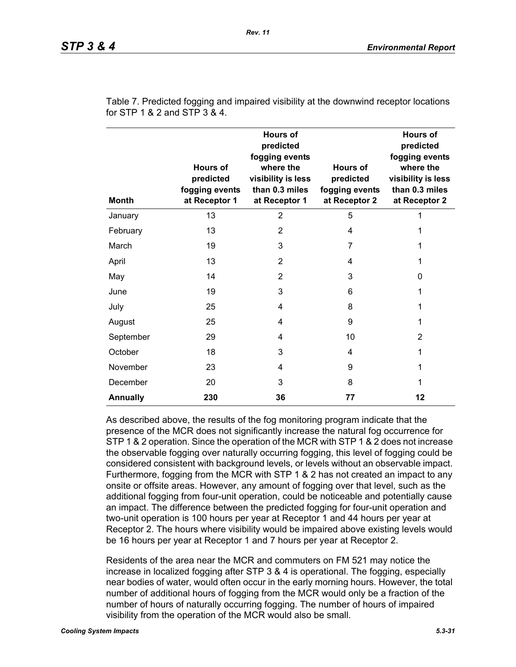| <b>Month</b>    | <b>Hours of</b><br>predicted<br>fogging events<br>at Receptor 1 | <b>Hours of</b><br>predicted<br>fogging events<br>where the<br>visibility is less<br>than 0.3 miles<br>at Receptor 1 | Hours of<br>predicted<br>fogging events<br>at Receptor 2 | <b>Hours of</b><br>predicted<br>fogging events<br>where the<br>visibility is less<br>than 0.3 miles<br>at Receptor 2 |
|-----------------|-----------------------------------------------------------------|----------------------------------------------------------------------------------------------------------------------|----------------------------------------------------------|----------------------------------------------------------------------------------------------------------------------|
| January         | 13                                                              | $\overline{2}$                                                                                                       | 5                                                        | 1                                                                                                                    |
| February        | 13                                                              | 2                                                                                                                    | 4                                                        | 1                                                                                                                    |
| March           | 19                                                              | 3                                                                                                                    | 7                                                        | 1                                                                                                                    |
| April           | 13                                                              | $\overline{2}$                                                                                                       | 4                                                        | 1                                                                                                                    |
| May             | 14                                                              | $\overline{2}$                                                                                                       | 3                                                        | 0                                                                                                                    |
| June            | 19                                                              | 3                                                                                                                    | 6                                                        | 1                                                                                                                    |
| July            | 25                                                              | 4                                                                                                                    | 8                                                        | 1                                                                                                                    |
| August          | 25                                                              | 4                                                                                                                    | 9                                                        | 1                                                                                                                    |
| September       | 29                                                              | 4                                                                                                                    | 10                                                       | 2                                                                                                                    |
| October         | 18                                                              | 3                                                                                                                    | 4                                                        | 1                                                                                                                    |
| November        | 23                                                              | 4                                                                                                                    | 9                                                        | 1                                                                                                                    |
| December        | 20                                                              | 3                                                                                                                    | 8                                                        | 1                                                                                                                    |
| <b>Annually</b> | 230                                                             | 36                                                                                                                   | 77                                                       | 12                                                                                                                   |

Table 7. Predicted fogging and impaired visibility at the downwind receptor locations for STP 1 & 2 and STP 3 & 4.

As described above, the results of the fog monitoring program indicate that the presence of the MCR does not significantly increase the natural fog occurrence for STP 1 & 2 operation. Since the operation of the MCR with STP 1 & 2 does not increase the observable fogging over naturally occurring fogging, this level of fogging could be considered consistent with background levels, or levels without an observable impact. Furthermore, fogging from the MCR with STP 1 & 2 has not created an impact to any onsite or offsite areas. However, any amount of fogging over that level, such as the additional fogging from four-unit operation, could be noticeable and potentially cause an impact. The difference between the predicted fogging for four-unit operation and two-unit operation is 100 hours per year at Receptor 1 and 44 hours per year at Receptor 2. The hours where visibility would be impaired above existing levels would be 16 hours per year at Receptor 1 and 7 hours per year at Receptor 2.

Residents of the area near the MCR and commuters on FM 521 may notice the increase in localized fogging after STP 3 & 4 is operational. The fogging, especially near bodies of water, would often occur in the early morning hours. However, the total number of additional hours of fogging from the MCR would only be a fraction of the number of hours of naturally occurring fogging. The number of hours of impaired visibility from the operation of the MCR would also be small.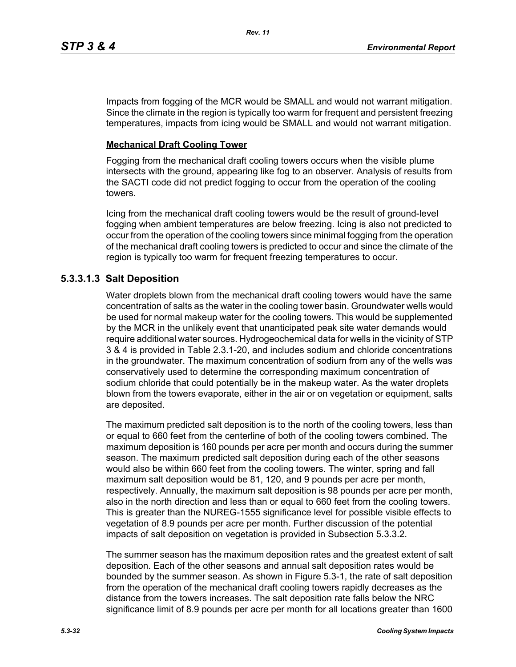Impacts from fogging of the MCR would be SMALL and would not warrant mitigation. Since the climate in the region is typically too warm for frequent and persistent freezing temperatures, impacts from icing would be SMALL and would not warrant mitigation.

## **Mechanical Draft Cooling Tower**

Fogging from the mechanical draft cooling towers occurs when the visible plume intersects with the ground, appearing like fog to an observer. Analysis of results from the SACTI code did not predict fogging to occur from the operation of the cooling towers.

Icing from the mechanical draft cooling towers would be the result of ground-level fogging when ambient temperatures are below freezing. Icing is also not predicted to occur from the operation of the cooling towers since minimal fogging from the operation of the mechanical draft cooling towers is predicted to occur and since the climate of the region is typically too warm for frequent freezing temperatures to occur.

## **5.3.3.1.3 Salt Deposition**

Water droplets blown from the mechanical draft cooling towers would have the same concentration of salts as the water in the cooling tower basin. Groundwater wells would be used for normal makeup water for the cooling towers. This would be supplemented by the MCR in the unlikely event that unanticipated peak site water demands would require additional water sources. Hydrogeochemical data for wells in the vicinity of STP 3 & 4 is provided in Table 2.3.1-20, and includes sodium and chloride concentrations in the groundwater. The maximum concentration of sodium from any of the wells was conservatively used to determine the corresponding maximum concentration of sodium chloride that could potentially be in the makeup water. As the water droplets blown from the towers evaporate, either in the air or on vegetation or equipment, salts are deposited.

The maximum predicted salt deposition is to the north of the cooling towers, less than or equal to 660 feet from the centerline of both of the cooling towers combined. The maximum deposition is 160 pounds per acre per month and occurs during the summer season. The maximum predicted salt deposition during each of the other seasons would also be within 660 feet from the cooling towers. The winter, spring and fall maximum salt deposition would be 81, 120, and 9 pounds per acre per month, respectively. Annually, the maximum salt deposition is 98 pounds per acre per month, also in the north direction and less than or equal to 660 feet from the cooling towers. This is greater than the NUREG-1555 significance level for possible visible effects to vegetation of 8.9 pounds per acre per month. Further discussion of the potential impacts of salt deposition on vegetation is provided in Subsection 5.3.3.2.

The summer season has the maximum deposition rates and the greatest extent of salt deposition. Each of the other seasons and annual salt deposition rates would be bounded by the summer season. As shown in Figure 5.3-1, the rate of salt deposition from the operation of the mechanical draft cooling towers rapidly decreases as the distance from the towers increases. The salt deposition rate falls below the NRC significance limit of 8.9 pounds per acre per month for all locations greater than 1600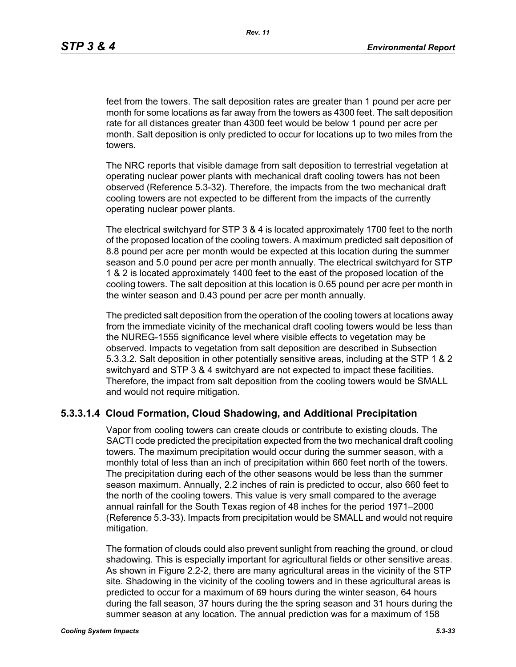feet from the towers. The salt deposition rates are greater than 1 pound per acre per month for some locations as far away from the towers as 4300 feet. The salt deposition rate for all distances greater than 4300 feet would be below 1 pound per acre per month. Salt deposition is only predicted to occur for locations up to two miles from the towers.

The NRC reports that visible damage from salt deposition to terrestrial vegetation at operating nuclear power plants with mechanical draft cooling towers has not been observed (Reference 5.3-32). Therefore, the impacts from the two mechanical draft cooling towers are not expected to be different from the impacts of the currently operating nuclear power plants.

The electrical switchyard for STP 3 & 4 is located approximately 1700 feet to the north of the proposed location of the cooling towers. A maximum predicted salt deposition of 8.8 pound per acre per month would be expected at this location during the summer season and 5.0 pound per acre per month annually. The electrical switchyard for STP 1 & 2 is located approximately 1400 feet to the east of the proposed location of the cooling towers. The salt deposition at this location is 0.65 pound per acre per month in the winter season and 0.43 pound per acre per month annually.

The predicted salt deposition from the operation of the cooling towers at locations away from the immediate vicinity of the mechanical draft cooling towers would be less than the NUREG-1555 significance level where visible effects to vegetation may be observed. Impacts to vegetation from salt deposition are described in Subsection 5.3.3.2. Salt deposition in other potentially sensitive areas, including at the STP 1 & 2 switchyard and STP 3 & 4 switchyard are not expected to impact these facilities. Therefore, the impact from salt deposition from the cooling towers would be SMALL and would not require mitigation.

### **5.3.3.1.4 Cloud Formation, Cloud Shadowing, and Additional Precipitation**

Vapor from cooling towers can create clouds or contribute to existing clouds. The SACTI code predicted the precipitation expected from the two mechanical draft cooling towers. The maximum precipitation would occur during the summer season, with a monthly total of less than an inch of precipitation within 660 feet north of the towers. The precipitation during each of the other seasons would be less than the summer season maximum. Annually, 2.2 inches of rain is predicted to occur, also 660 feet to the north of the cooling towers. This value is very small compared to the average annual rainfall for the South Texas region of 48 inches for the period 1971–2000 (Reference 5.3-33). Impacts from precipitation would be SMALL and would not require mitigation.

The formation of clouds could also prevent sunlight from reaching the ground, or cloud shadowing. This is especially important for agricultural fields or other sensitive areas. As shown in Figure 2.2-2, there are many agricultural areas in the vicinity of the STP site. Shadowing in the vicinity of the cooling towers and in these agricultural areas is predicted to occur for a maximum of 69 hours during the winter season, 64 hours during the fall season, 37 hours during the the spring season and 31 hours during the summer season at any location. The annual prediction was for a maximum of 158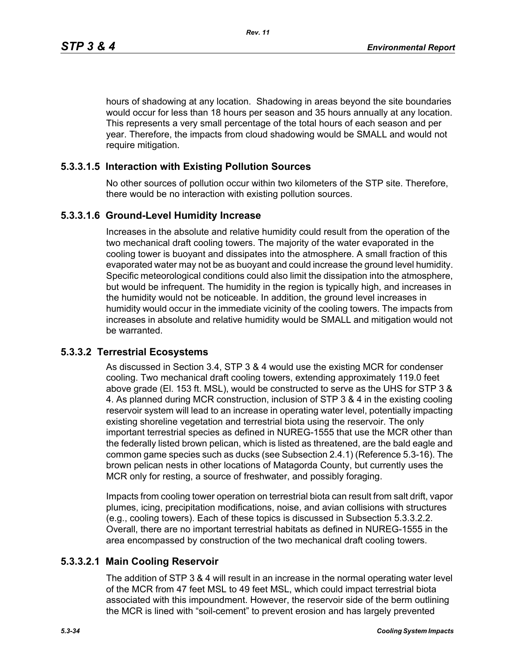hours of shadowing at any location. Shadowing in areas beyond the site boundaries would occur for less than 18 hours per season and 35 hours annually at any location. This represents a very small percentage of the total hours of each season and per year. Therefore, the impacts from cloud shadowing would be SMALL and would not require mitigation.

## **5.3.3.1.5 Interaction with Existing Pollution Sources**

No other sources of pollution occur within two kilometers of the STP site. Therefore, there would be no interaction with existing pollution sources.

### **5.3.3.1.6 Ground-Level Humidity Increase**

Increases in the absolute and relative humidity could result from the operation of the two mechanical draft cooling towers. The majority of the water evaporated in the cooling tower is buoyant and dissipates into the atmosphere. A small fraction of this evaporated water may not be as buoyant and could increase the ground level humidity. Specific meteorological conditions could also limit the dissipation into the atmosphere, but would be infrequent. The humidity in the region is typically high, and increases in the humidity would not be noticeable. In addition, the ground level increases in humidity would occur in the immediate vicinity of the cooling towers. The impacts from increases in absolute and relative humidity would be SMALL and mitigation would not be warranted.

## **5.3.3.2 Terrestrial Ecosystems**

As discussed in Section 3.4, STP 3 & 4 would use the existing MCR for condenser cooling. Two mechanical draft cooling towers, extending approximately 119.0 feet above grade (El. 153 ft. MSL), would be constructed to serve as the UHS for STP 3 & 4. As planned during MCR construction, inclusion of STP 3 & 4 in the existing cooling reservoir system will lead to an increase in operating water level, potentially impacting existing shoreline vegetation and terrestrial biota using the reservoir. The only important terrestrial species as defined in NUREG-1555 that use the MCR other than the federally listed brown pelican, which is listed as threatened, are the bald eagle and common game species such as ducks (see Subsection 2.4.1) (Reference 5.3-16). The brown pelican nests in other locations of Matagorda County, but currently uses the MCR only for resting, a source of freshwater, and possibly foraging.

Impacts from cooling tower operation on terrestrial biota can result from salt drift, vapor plumes, icing, precipitation modifications, noise, and avian collisions with structures (e.g., cooling towers). Each of these topics is discussed in Subsection 5.3.3.2.2. Overall, there are no important terrestrial habitats as defined in NUREG-1555 in the area encompassed by construction of the two mechanical draft cooling towers.

## **5.3.3.2.1 Main Cooling Reservoir**

The addition of STP 3 & 4 will result in an increase in the normal operating water level of the MCR from 47 feet MSL to 49 feet MSL, which could impact terrestrial biota associated with this impoundment. However, the reservoir side of the berm outlining the MCR is lined with "soil-cement" to prevent erosion and has largely prevented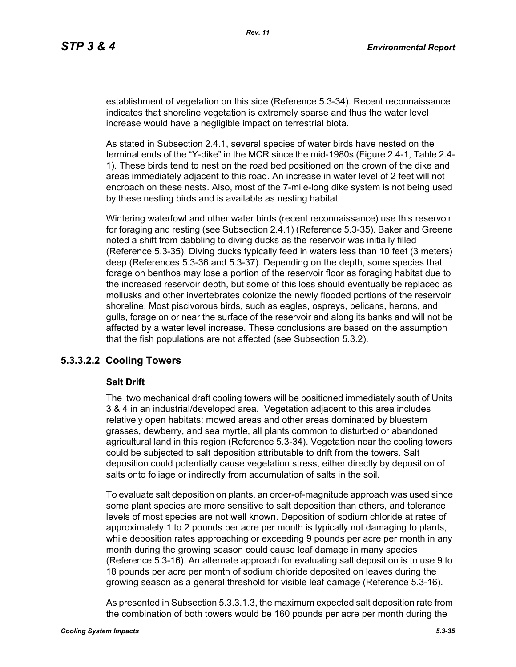establishment of vegetation on this side (Reference 5.3-34). Recent reconnaissance indicates that shoreline vegetation is extremely sparse and thus the water level increase would have a negligible impact on terrestrial biota.

As stated in Subsection 2.4.1, several species of water birds have nested on the terminal ends of the "Y-dike" in the MCR since the mid-1980s (Figure 2.4-1, Table 2.4- 1). These birds tend to nest on the road bed positioned on the crown of the dike and areas immediately adjacent to this road. An increase in water level of 2 feet will not encroach on these nests. Also, most of the 7-mile-long dike system is not being used by these nesting birds and is available as nesting habitat.

Wintering waterfowl and other water birds (recent reconnaissance) use this reservoir for foraging and resting (see Subsection 2.4.1) (Reference 5.3-35). Baker and Greene noted a shift from dabbling to diving ducks as the reservoir was initially filled (Reference 5.3-35). Diving ducks typically feed in waters less than 10 feet (3 meters) deep (References 5.3-36 and 5.3-37). Depending on the depth, some species that forage on benthos may lose a portion of the reservoir floor as foraging habitat due to the increased reservoir depth, but some of this loss should eventually be replaced as mollusks and other invertebrates colonize the newly flooded portions of the reservoir shoreline. Most piscivorous birds, such as eagles, ospreys, pelicans, herons, and gulls, forage on or near the surface of the reservoir and along its banks and will not be affected by a water level increase. These conclusions are based on the assumption that the fish populations are not affected (see Subsection 5.3.2).

### **5.3.3.2.2 Cooling Towers**

#### **Salt Drift**

The two mechanical draft cooling towers will be positioned immediately south of Units 3 & 4 in an industrial/developed area. Vegetation adjacent to this area includes relatively open habitats: mowed areas and other areas dominated by bluestem grasses, dewberry, and sea myrtle, all plants common to disturbed or abandoned agricultural land in this region (Reference 5.3-34). Vegetation near the cooling towers could be subjected to salt deposition attributable to drift from the towers. Salt deposition could potentially cause vegetation stress, either directly by deposition of salts onto foliage or indirectly from accumulation of salts in the soil.

To evaluate salt deposition on plants, an order-of-magnitude approach was used since some plant species are more sensitive to salt deposition than others, and tolerance levels of most species are not well known. Deposition of sodium chloride at rates of approximately 1 to 2 pounds per acre per month is typically not damaging to plants, while deposition rates approaching or exceeding 9 pounds per acre per month in any month during the growing season could cause leaf damage in many species (Reference 5.3-16). An alternate approach for evaluating salt deposition is to use 9 to 18 pounds per acre per month of sodium chloride deposited on leaves during the growing season as a general threshold for visible leaf damage (Reference 5.3-16).

As presented in Subsection 5.3.3.1.3, the maximum expected salt deposition rate from the combination of both towers would be 160 pounds per acre per month during the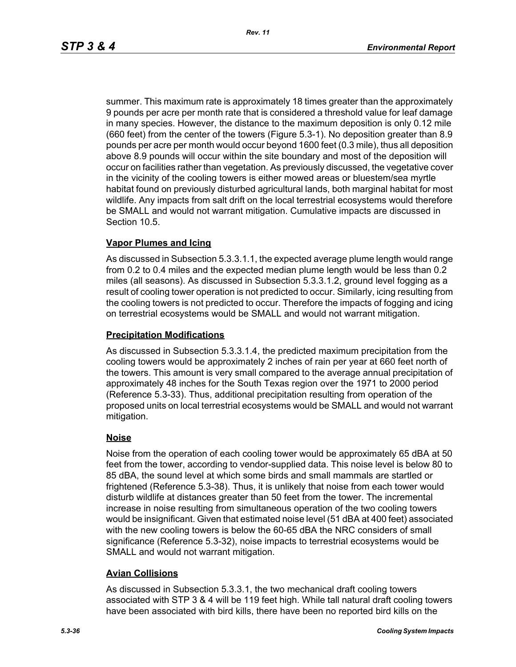summer. This maximum rate is approximately 18 times greater than the approximately 9 pounds per acre per month rate that is considered a threshold value for leaf damage in many species. However, the distance to the maximum deposition is only 0.12 mile (660 feet) from the center of the towers (Figure 5.3-1). No deposition greater than 8.9 pounds per acre per month would occur beyond 1600 feet (0.3 mile), thus all deposition above 8.9 pounds will occur within the site boundary and most of the deposition will occur on facilities rather than vegetation. As previously discussed, the vegetative cover in the vicinity of the cooling towers is either mowed areas or bluestem/sea myrtle habitat found on previously disturbed agricultural lands, both marginal habitat for most wildlife. Any impacts from salt drift on the local terrestrial ecosystems would therefore be SMALL and would not warrant mitigation. Cumulative impacts are discussed in Section 10.5.

### **Vapor Plumes and Icing**

As discussed in Subsection 5.3.3.1.1, the expected average plume length would range from 0.2 to 0.4 miles and the expected median plume length would be less than 0.2 miles (all seasons). As discussed in Subsection 5.3.3.1.2, ground level fogging as a result of cooling tower operation is not predicted to occur. Similarly, icing resulting from the cooling towers is not predicted to occur. Therefore the impacts of fogging and icing on terrestrial ecosystems would be SMALL and would not warrant mitigation.

#### **Precipitation Modifications**

As discussed in Subsection 5.3.3.1.4, the predicted maximum precipitation from the cooling towers would be approximately 2 inches of rain per year at 660 feet north of the towers. This amount is very small compared to the average annual precipitation of approximately 48 inches for the South Texas region over the 1971 to 2000 period (Reference 5.3-33). Thus, additional precipitation resulting from operation of the proposed units on local terrestrial ecosystems would be SMALL and would not warrant mitigation.

### **Noise**

Noise from the operation of each cooling tower would be approximately 65 dBA at 50 feet from the tower, according to vendor-supplied data. This noise level is below 80 to 85 dBA, the sound level at which some birds and small mammals are startled or frightened (Reference 5.3-38). Thus, it is unlikely that noise from each tower would disturb wildlife at distances greater than 50 feet from the tower. The incremental increase in noise resulting from simultaneous operation of the two cooling towers would be insignificant. Given that estimated noise level (51 dBA at 400 feet) associated with the new cooling towers is below the 60-65 dBA the NRC considers of small significance (Reference 5.3-32), noise impacts to terrestrial ecosystems would be SMALL and would not warrant mitigation.

### **Avian Collisions**

As discussed in Subsection 5.3.3.1, the two mechanical draft cooling towers associated with STP 3 & 4 will be 119 feet high. While tall natural draft cooling towers have been associated with bird kills, there have been no reported bird kills on the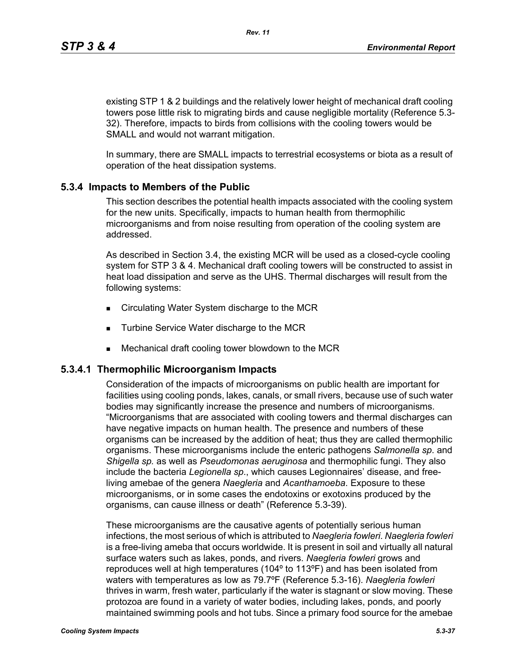existing STP 1 & 2 buildings and the relatively lower height of mechanical draft cooling towers pose little risk to migrating birds and cause negligible mortality (Reference 5.3- 32). Therefore, impacts to birds from collisions with the cooling towers would be SMALL and would not warrant mitigation.

In summary, there are SMALL impacts to terrestrial ecosystems or biota as a result of operation of the heat dissipation systems.

## **5.3.4 Impacts to Members of the Public**

This section describes the potential health impacts associated with the cooling system for the new units. Specifically, impacts to human health from thermophilic microorganisms and from noise resulting from operation of the cooling system are addressed.

As described in Section 3.4, the existing MCR will be used as a closed-cycle cooling system for STP 3 & 4. Mechanical draft cooling towers will be constructed to assist in heat load dissipation and serve as the UHS. Thermal discharges will result from the following systems:

- Circulating Water System discharge to the MCR
- **Turbine Service Water discharge to the MCR**
- Mechanical draft cooling tower blowdown to the MCR

## **5.3.4.1 Thermophilic Microorganism Impacts**

Consideration of the impacts of microorganisms on public health are important for facilities using cooling ponds, lakes, canals, or small rivers, because use of such water bodies may significantly increase the presence and numbers of microorganisms. "Microorganisms that are associated with cooling towers and thermal discharges can have negative impacts on human health. The presence and numbers of these organisms can be increased by the addition of heat; thus they are called thermophilic organisms. These microorganisms include the enteric pathogens *Salmonella sp*. and *Shigella sp.* as well as *Pseudomonas aeruginosa* and thermophilic fungi. They also include the bacteria *Legionella sp*., which causes Legionnaires' disease, and freeliving amebae of the genera *Naegleria* and *Acanthamoeba*. Exposure to these microorganisms, or in some cases the endotoxins or exotoxins produced by the organisms, can cause illness or death" (Reference 5.3-39).

These microorganisms are the causative agents of potentially serious human infections, the most serious of which is attributed to *Naegleria fowleri*. *Naegleria fowleri* is a free-living ameba that occurs worldwide. It is present in soil and virtually all natural surface waters such as lakes, ponds, and rivers. *Naegleria fowleri* grows and reproduces well at high temperatures (104º to 113ºF) and has been isolated from waters with temperatures as low as 79.7ºF (Reference 5.3-16). *Naegleria fowleri* thrives in warm, fresh water, particularly if the water is stagnant or slow moving. These protozoa are found in a variety of water bodies, including lakes, ponds, and poorly maintained swimming pools and hot tubs. Since a primary food source for the amebae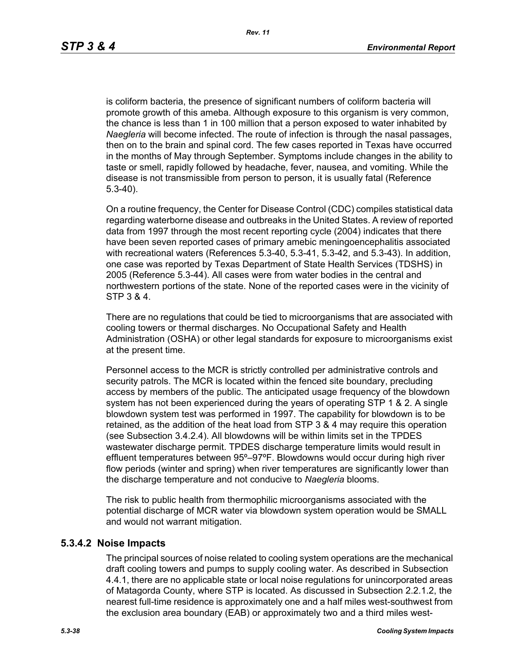is coliform bacteria, the presence of significant numbers of coliform bacteria will promote growth of this ameba. Although exposure to this organism is very common, the chance is less than 1 in 100 million that a person exposed to water inhabited by *Naegleria* will become infected. The route of infection is through the nasal passages, then on to the brain and spinal cord. The few cases reported in Texas have occurred in the months of May through September. Symptoms include changes in the ability to taste or smell, rapidly followed by headache, fever, nausea, and vomiting. While the disease is not transmissible from person to person, it is usually fatal (Reference 5.3-40).

On a routine frequency, the Center for Disease Control (CDC) compiles statistical data regarding waterborne disease and outbreaks in the United States. A review of reported data from 1997 through the most recent reporting cycle (2004) indicates that there have been seven reported cases of primary amebic meningoencephalitis associated with recreational waters (References 5.3-40, 5.3-41, 5.3-42, and 5.3-43). In addition, one case was reported by Texas Department of State Health Services (TDSHS) in 2005 (Reference 5.3-44). All cases were from water bodies in the central and northwestern portions of the state. None of the reported cases were in the vicinity of STP 3 & 4.

There are no regulations that could be tied to microorganisms that are associated with cooling towers or thermal discharges. No Occupational Safety and Health Administration (OSHA) or other legal standards for exposure to microorganisms exist at the present time.

Personnel access to the MCR is strictly controlled per administrative controls and security patrols. The MCR is located within the fenced site boundary, precluding access by members of the public. The anticipated usage frequency of the blowdown system has not been experienced during the years of operating STP 1 & 2. A single blowdown system test was performed in 1997. The capability for blowdown is to be retained, as the addition of the heat load from STP 3 & 4 may require this operation (see Subsection 3.4.2.4). All blowdowns will be within limits set in the TPDES wastewater discharge permit. TPDES discharge temperature limits would result in effluent temperatures between 95º–97ºF. Blowdowns would occur during high river flow periods (winter and spring) when river temperatures are significantly lower than the discharge temperature and not conducive to *Naegleria* blooms.

The risk to public health from thermophilic microorganisms associated with the potential discharge of MCR water via blowdown system operation would be SMALL and would not warrant mitigation.

### **5.3.4.2 Noise Impacts**

The principal sources of noise related to cooling system operations are the mechanical draft cooling towers and pumps to supply cooling water. As described in Subsection 4.4.1, there are no applicable state or local noise regulations for unincorporated areas of Matagorda County, where STP is located. As discussed in Subsection 2.2.1.2, the nearest full-time residence is approximately one and a half miles west-southwest from the exclusion area boundary (EAB) or approximately two and a third miles west-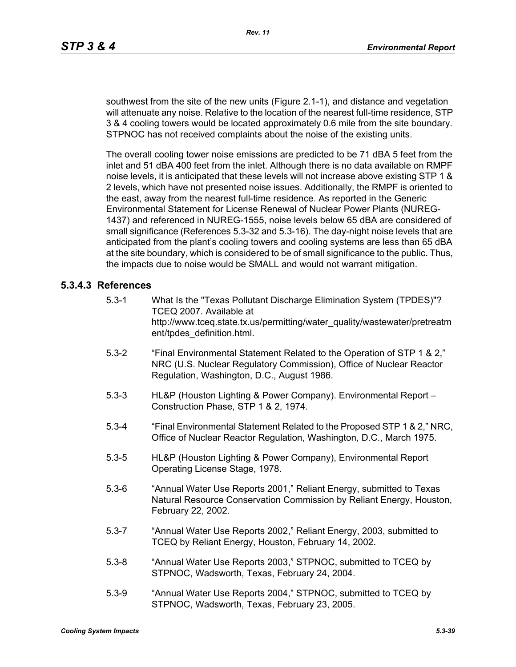southwest from the site of the new units (Figure 2.1-1), and distance and vegetation will attenuate any noise. Relative to the location of the nearest full-time residence, STP 3 & 4 cooling towers would be located approximately 0.6 mile from the site boundary. STPNOC has not received complaints about the noise of the existing units.

The overall cooling tower noise emissions are predicted to be 71 dBA 5 feet from the inlet and 51 dBA 400 feet from the inlet. Although there is no data available on RMPF noise levels, it is anticipated that these levels will not increase above existing STP 1 & 2 levels, which have not presented noise issues. Additionally, the RMPF is oriented to the east, away from the nearest full-time residence. As reported in the Generic Environmental Statement for License Renewal of Nuclear Power Plants (NUREG-1437) and referenced in NUREG-1555, noise levels below 65 dBA are considered of small significance (References 5.3-32 and 5.3-16). The day-night noise levels that are anticipated from the plant's cooling towers and cooling systems are less than 65 dBA at the site boundary, which is considered to be of small significance to the public. Thus, the impacts due to noise would be SMALL and would not warrant mitigation.

### **5.3.4.3 References**

- 5.3-1 What Is the "Texas Pollutant Discharge Elimination System (TPDES)"? TCEQ 2007. Available at http://www.tceq.state.tx.us/permitting/water\_quality/wastewater/pretreatm ent/tpdes\_definition.html.
- 5.3-2 "Final Environmental Statement Related to the Operation of STP 1 & 2," NRC (U.S. Nuclear Regulatory Commission), Office of Nuclear Reactor Regulation, Washington, D.C., August 1986.
- 5.3-3 HL&P (Houston Lighting & Power Company). Environmental Report Construction Phase, STP 1 & 2, 1974.
- 5.3-4 "Final Environmental Statement Related to the Proposed STP 1 & 2," NRC, Office of Nuclear Reactor Regulation, Washington, D.C., March 1975.
- 5.3-5 HL&P (Houston Lighting & Power Company), Environmental Report Operating License Stage, 1978.
- 5.3-6 "Annual Water Use Reports 2001," Reliant Energy, submitted to Texas Natural Resource Conservation Commission by Reliant Energy, Houston, February 22, 2002.
- 5.3-7 "Annual Water Use Reports 2002," Reliant Energy, 2003, submitted to TCEQ by Reliant Energy, Houston, February 14, 2002.
- 5.3-8 "Annual Water Use Reports 2003," STPNOC, submitted to TCEQ by STPNOC, Wadsworth, Texas, February 24, 2004.
- 5.3-9 "Annual Water Use Reports 2004," STPNOC, submitted to TCEQ by STPNOC, Wadsworth, Texas, February 23, 2005.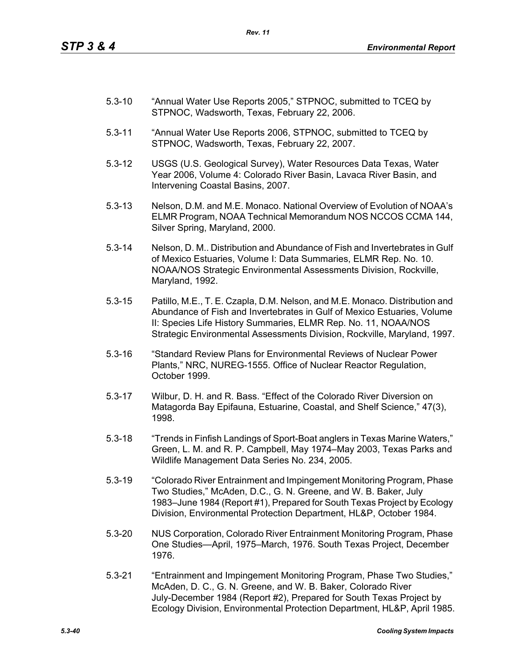- 5.3-10 "Annual Water Use Reports 2005," STPNOC, submitted to TCEQ by STPNOC, Wadsworth, Texas, February 22, 2006.
- 5.3-11 "Annual Water Use Reports 2006, STPNOC, submitted to TCEQ by STPNOC, Wadsworth, Texas, February 22, 2007.
- 5.3-12 USGS (U.S. Geological Survey), Water Resources Data Texas, Water Year 2006, Volume 4: Colorado River Basin, Lavaca River Basin, and Intervening Coastal Basins, 2007.
- 5.3-13 Nelson, D.M. and M.E. Monaco. National Overview of Evolution of NOAA's ELMR Program, NOAA Technical Memorandum NOS NCCOS CCMA 144, Silver Spring, Maryland, 2000.
- 5.3-14 Nelson, D. M.. Distribution and Abundance of Fish and Invertebrates in Gulf of Mexico Estuaries, Volume I: Data Summaries, ELMR Rep. No. 10. NOAA/NOS Strategic Environmental Assessments Division, Rockville, Maryland, 1992.
- 5.3-15 Patillo, M.E., T. E. Czapla, D.M. Nelson, and M.E. Monaco. Distribution and Abundance of Fish and Invertebrates in Gulf of Mexico Estuaries, Volume II: Species Life History Summaries, ELMR Rep. No. 11, NOAA/NOS Strategic Environmental Assessments Division, Rockville, Maryland, 1997.
- 5.3-16 "Standard Review Plans for Environmental Reviews of Nuclear Power Plants," NRC, NUREG-1555. Office of Nuclear Reactor Regulation, October 1999.
- 5.3-17 Wilbur, D. H. and R. Bass. "Effect of the Colorado River Diversion on Matagorda Bay Epifauna, Estuarine, Coastal, and Shelf Science," 47(3), 1998.
- 5.3-18 "Trends in Finfish Landings of Sport-Boat anglers in Texas Marine Waters," Green, L. M. and R. P. Campbell, May 1974–May 2003, Texas Parks and Wildlife Management Data Series No. 234, 2005.
- 5.3-19 "Colorado River Entrainment and Impingement Monitoring Program, Phase Two Studies," McAden, D.C., G. N. Greene, and W. B. Baker, July 1983–June 1984 (Report #1), Prepared for South Texas Project by Ecology Division, Environmental Protection Department, HL&P, October 1984.
- 5.3-20 NUS Corporation, Colorado River Entrainment Monitoring Program, Phase One Studies—April, 1975–March, 1976. South Texas Project, December 1976.
- 5.3-21 "Entrainment and Impingement Monitoring Program, Phase Two Studies," McAden, D. C., G. N. Greene, and W. B. Baker, Colorado River July-December 1984 (Report #2), Prepared for South Texas Project by Ecology Division, Environmental Protection Department, HL&P, April 1985.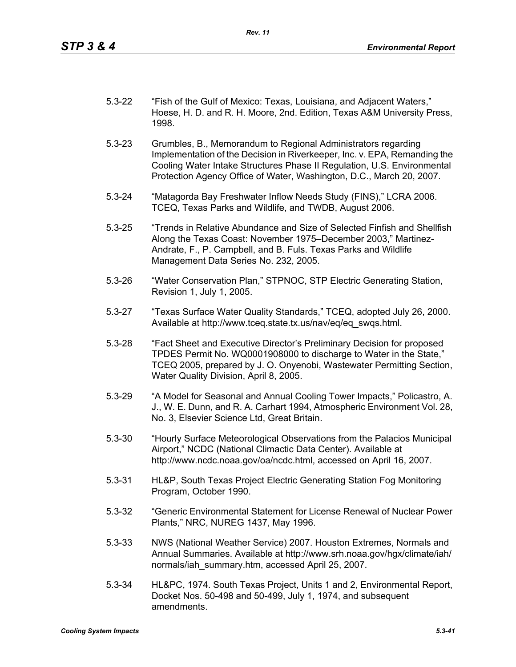- 5.3-22 "Fish of the Gulf of Mexico: Texas, Louisiana, and Adjacent Waters," Hoese, H. D. and R. H. Moore, 2nd. Edition, Texas A&M University Press, 1998.
- 5.3-23 Grumbles, B., Memorandum to Regional Administrators regarding Implementation of the Decision in Riverkeeper, Inc. v. EPA, Remanding the Cooling Water Intake Structures Phase II Regulation, U.S. Environmental Protection Agency Office of Water, Washington, D.C., March 20, 2007.
- 5.3-24 "Matagorda Bay Freshwater Inflow Needs Study (FINS)," LCRA 2006. TCEQ, Texas Parks and Wildlife, and TWDB, August 2006.
- 5.3-25 "Trends in Relative Abundance and Size of Selected Finfish and Shellfish Along the Texas Coast: November 1975–December 2003," Martinez-Andrate, F., P. Campbell, and B. Fuls. Texas Parks and Wildlife Management Data Series No. 232, 2005.
- 5.3-26 "Water Conservation Plan," STPNOC, STP Electric Generating Station, Revision 1, July 1, 2005.
- 5.3-27 "Texas Surface Water Quality Standards," TCEQ, adopted July 26, 2000. Available at http://www.tceq.state.tx.us/nav/eq/eq\_swqs.html.
- 5.3-28 "Fact Sheet and Executive Director's Preliminary Decision for proposed TPDES Permit No. WQ0001908000 to discharge to Water in the State," TCEQ 2005, prepared by J. O. Onyenobi, Wastewater Permitting Section, Water Quality Division, April 8, 2005.
- 5.3-29 "A Model for Seasonal and Annual Cooling Tower Impacts," Policastro, A. J., W. E. Dunn, and R. A. Carhart 1994, Atmospheric Environment Vol. 28, No. 3, Elsevier Science Ltd, Great Britain.
- 5.3-30 "Hourly Surface Meteorological Observations from the Palacios Municipal Airport," NCDC (National Climactic Data Center). Available at http://www.ncdc.noaa.gov/oa/ncdc.html, accessed on April 16, 2007.
- 5.3-31 HL&P, South Texas Project Electric Generating Station Fog Monitoring Program, October 1990.
- 5.3-32 "Generic Environmental Statement for License Renewal of Nuclear Power Plants," NRC, NUREG 1437, May 1996.
- 5.3-33 NWS (National Weather Service) 2007. Houston Extremes, Normals and Annual Summaries. Available at http://www.srh.noaa.gov/hgx/climate/iah/ normals/iah\_summary.htm, accessed April 25, 2007.
- 5.3-34 HL&PC, 1974. South Texas Project, Units 1 and 2, Environmental Report, Docket Nos. 50-498 and 50-499, July 1, 1974, and subsequent amendments.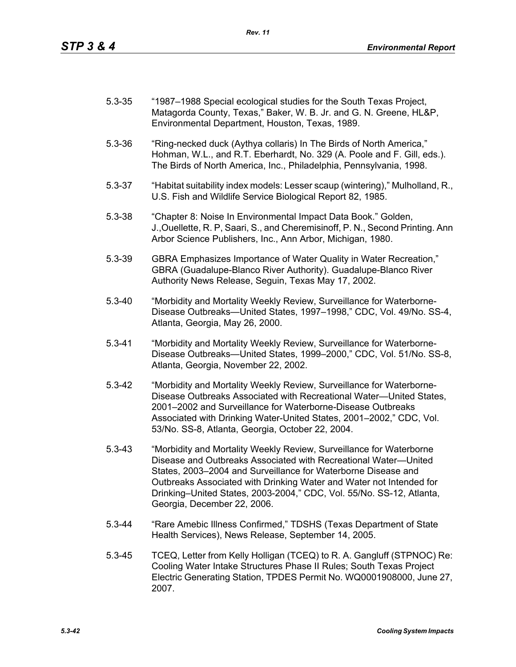| $5.3 - 35$ | "1987–1988 Special ecological studies for the South Texas Project, |
|------------|--------------------------------------------------------------------|
|            | Matagorda County, Texas," Baker, W. B. Jr. and G. N. Greene, HL&P, |
|            | Environmental Department, Houston, Texas, 1989.                    |

- 5.3-36 "Ring-necked duck (Aythya collaris) In The Birds of North America," Hohman, W.L., and R.T. Eberhardt, No. 329 (A. Poole and F. Gill, eds.). The Birds of North America, Inc., Philadelphia, Pennsylvania, 1998.
- 5.3-37 "Habitat suitability index models: Lesser scaup (wintering)," Mulholland, R., U.S. Fish and Wildlife Service Biological Report 82, 1985.
- 5.3-38 "Chapter 8: Noise In Environmental Impact Data Book." Golden, J.,Ouellette, R. P, Saari, S., and Cheremisinoff, P. N., Second Printing. Ann Arbor Science Publishers, Inc., Ann Arbor, Michigan, 1980.
- 5.3-39 GBRA Emphasizes Importance of Water Quality in Water Recreation," GBRA (Guadalupe-Blanco River Authority). Guadalupe-Blanco River Authority News Release, Seguin, Texas May 17, 2002.
- 5.3-40 "Morbidity and Mortality Weekly Review, Surveillance for Waterborne-Disease Outbreaks—United States, 1997–1998," CDC, Vol. 49/No. SS-4, Atlanta, Georgia, May 26, 2000.
- 5.3-41 "Morbidity and Mortality Weekly Review, Surveillance for Waterborne-Disease Outbreaks—United States, 1999–2000," CDC, Vol. 51/No. SS-8, Atlanta, Georgia, November 22, 2002.
- 5.3-42 "Morbidity and Mortality Weekly Review, Surveillance for Waterborne-Disease Outbreaks Associated with Recreational Water—United States, 2001–2002 and Surveillance for Waterborne-Disease Outbreaks Associated with Drinking Water-United States, 2001–2002," CDC, Vol. 53/No. SS-8, Atlanta, Georgia, October 22, 2004.
- 5.3-43 "Morbidity and Mortality Weekly Review, Surveillance for Waterborne Disease and Outbreaks Associated with Recreational Water—United States, 2003–2004 and Surveillance for Waterborne Disease and Outbreaks Associated with Drinking Water and Water not Intended for Drinking–United States, 2003-2004," CDC, Vol. 55/No. SS-12, Atlanta, Georgia, December 22, 2006.
- 5.3-44 "Rare Amebic Illness Confirmed," TDSHS (Texas Department of State Health Services), News Release, September 14, 2005.
- 5.3-45 TCEQ, Letter from Kelly Holligan (TCEQ) to R. A. Gangluff (STPNOC) Re: Cooling Water Intake Structures Phase II Rules; South Texas Project Electric Generating Station, TPDES Permit No. WQ0001908000, June 27, 2007.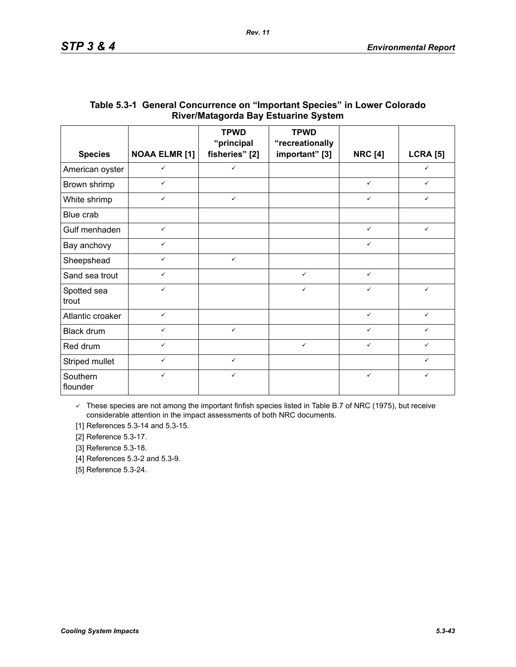|                      |                      | <b>TPWD</b><br>"principal | <b>TPWD</b><br>"recreationally |                |                 |
|----------------------|----------------------|---------------------------|--------------------------------|----------------|-----------------|
| <b>Species</b>       | <b>NOAA ELMR [1]</b> | fisheries" [2]            | important" [3]                 | <b>NRC [4]</b> | <b>LCRA [5]</b> |
| American oyster      | $\checkmark$         | $\checkmark$              |                                |                | $\checkmark$    |
| Brown shrimp         | $\checkmark$         |                           |                                | $\checkmark$   | $\checkmark$    |
| White shrimp         | $\checkmark$         | $\checkmark$              |                                | $\checkmark$   | $\checkmark$    |
| Blue crab            |                      |                           |                                |                |                 |
| Gulf menhaden        | $\checkmark$         |                           |                                | $\checkmark$   | $\checkmark$    |
| Bay anchovy          | $\checkmark$         |                           |                                | $\checkmark$   |                 |
| Sheepshead           | $\checkmark$         | $\checkmark$              |                                |                |                 |
| Sand sea trout       | $\checkmark$         |                           | $\checkmark$                   | $\checkmark$   |                 |
| Spotted sea<br>trout | $\checkmark$         |                           | $\checkmark$                   | $\checkmark$   | $\checkmark$    |
| Atlantic croaker     | $\checkmark$         |                           |                                | $\checkmark$   | $\checkmark$    |
| Black drum           | $\checkmark$         | $\checkmark$              |                                | ✓              | ✓               |
| Red drum             | $\checkmark$         |                           | $\checkmark$                   | $\checkmark$   | ✓               |
| Striped mullet       | $\checkmark$         | $\checkmark$              |                                |                | ✓               |
| Southern<br>flounder | $\checkmark$         | ✓                         |                                | $\checkmark$   | ✓               |

## **Table 5.3-1 General Concurrence on "Important Species" in Lower Colorado River/Matagorda Bay Estuarine System**

*Rev. 11*

 $\checkmark$  These species are not among the important finfish species listed in Table B.7 of NRC (1975), but receive considerable attention in the impact assessments of both NRC documents.

[1] References 5.3-14 and 5.3-15.

[2] Reference 5.3-17.

[3] Reference 5.3-18.

[4] References 5.3-2 and 5.3-9.

[5] Reference 5.3-24.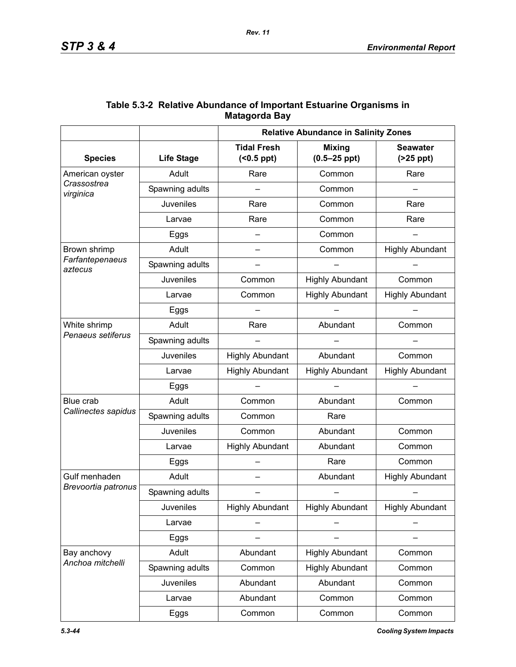|                            | <b>Relative Abundance in Salinity Zones</b> |                                        |                                   |                               |
|----------------------------|---------------------------------------------|----------------------------------------|-----------------------------------|-------------------------------|
| <b>Species</b>             | <b>Life Stage</b>                           | <b>Tidal Fresh</b><br>$( <0.5$ ppt $)$ | <b>Mixing</b><br>$(0.5 - 25$ ppt) | <b>Seawater</b><br>$(25$ ppt) |
| American oyster            | Adult                                       | Rare                                   | Common                            | Rare                          |
| Crassostrea<br>virginica   | Spawning adults                             |                                        | Common                            |                               |
|                            | Juveniles                                   | Rare                                   | Common                            | Rare                          |
|                            | Larvae                                      | Rare                                   | Common                            | Rare                          |
|                            | Eggs                                        |                                        | Common                            |                               |
| Brown shrimp               | Adult                                       | $\overline{\phantom{0}}$               | Common                            | <b>Highly Abundant</b>        |
| Farfantepenaeus<br>aztecus | Spawning adults                             |                                        |                                   |                               |
|                            | Juveniles                                   | Common                                 | <b>Highly Abundant</b>            | Common                        |
|                            | Larvae                                      | Common                                 | <b>Highly Abundant</b>            | <b>Highly Abundant</b>        |
|                            | Eggs                                        |                                        |                                   |                               |
| White shrimp               | Adult                                       | Rare                                   | Abundant                          | Common                        |
| Penaeus setiferus          | Spawning adults                             |                                        |                                   |                               |
|                            | Juveniles                                   | <b>Highly Abundant</b>                 | Abundant                          | Common                        |
|                            | Larvae                                      | <b>Highly Abundant</b>                 | <b>Highly Abundant</b>            | <b>Highly Abundant</b>        |
|                            | Eggs                                        |                                        |                                   |                               |
| Blue crab                  | Adult                                       | Common                                 | Abundant                          | Common                        |
| Callinectes sapidus        | Spawning adults                             | Common                                 | Rare                              |                               |
|                            | Juveniles                                   | Common                                 | Abundant                          | Common                        |
|                            | Larvae                                      | <b>Highly Abundant</b>                 | Abundant                          | Common                        |
|                            | Eggs                                        |                                        | Rare                              | Common                        |
| Gulf menhaden              | Adult                                       |                                        | Abundant                          | <b>Highly Abundant</b>        |
| Brevoortia patronus        | Spawning adults                             |                                        |                                   |                               |
|                            | <b>Juveniles</b>                            | <b>Highly Abundant</b>                 | <b>Highly Abundant</b>            | <b>Highly Abundant</b>        |
|                            | Larvae                                      |                                        |                                   |                               |
|                            | Eggs                                        |                                        |                                   |                               |
| Bay anchovy                | Adult                                       | Abundant                               | <b>Highly Abundant</b>            | Common                        |
| Anchoa mitchelli           | Spawning adults                             | Common                                 | <b>Highly Abundant</b>            | Common                        |
|                            | Juveniles                                   | Abundant                               | Abundant                          | Common                        |
|                            | Larvae                                      | Abundant                               | Common                            | Common                        |
|                            | Eggs                                        | Common                                 | Common                            | Common                        |

## **Table 5.3-2 Relative Abundance of Important Estuarine Organisms in Matagorda Bay**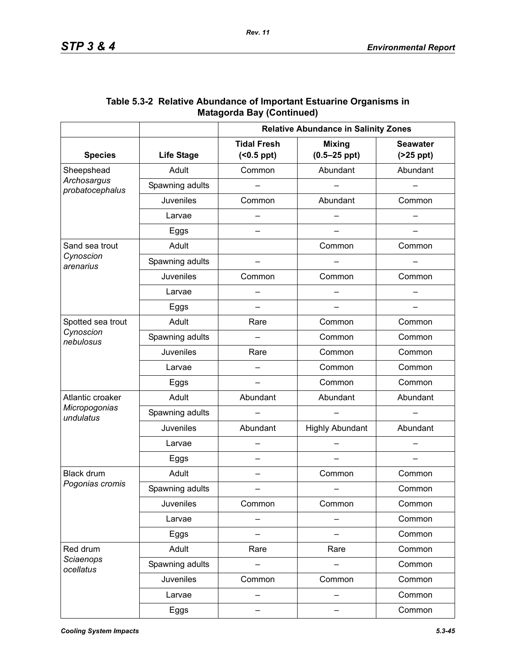|                                                |                   | <b>Relative Abundance in Salinity Zones</b> |                                   |                                    |  |
|------------------------------------------------|-------------------|---------------------------------------------|-----------------------------------|------------------------------------|--|
| <b>Species</b>                                 | <b>Life Stage</b> | <b>Tidal Fresh</b><br>$( < 0.5$ ppt $)$     | <b>Mixing</b><br>$(0.5 - 25$ ppt) | <b>Seawater</b><br>$($ >25 ppt $)$ |  |
| Sheepshead                                     | Adult             | Abundant<br>Common                          |                                   | Abundant                           |  |
| Archosargus<br>probatocephalus                 | Spawning adults   |                                             |                                   |                                    |  |
|                                                | <b>Juveniles</b>  | Common                                      | Abundant                          | Common                             |  |
|                                                | Larvae            |                                             |                                   |                                    |  |
|                                                | Eggs              |                                             |                                   |                                    |  |
| Sand sea trout                                 | Adult             |                                             | Common                            | Common                             |  |
| Cynoscion<br>arenarius                         | Spawning adults   |                                             |                                   |                                    |  |
|                                                | Juveniles         | Common                                      | Common                            | Common                             |  |
|                                                | Larvae            |                                             |                                   |                                    |  |
|                                                | Eggs              | $\overline{\phantom{0}}$                    |                                   |                                    |  |
| Spotted sea trout                              | Adult             | Rare                                        | Common                            | Common                             |  |
| Cynoscion<br>nebulosus                         | Spawning adults   |                                             | Common                            | Common                             |  |
|                                                | <b>Juveniles</b>  | Rare                                        | Common                            | Common                             |  |
|                                                | Larvae            |                                             | Common                            | Common                             |  |
|                                                | Eggs              |                                             | Common                            | Common                             |  |
| Atlantic croaker<br>Micropogonias<br>undulatus | Adult             | Abundant                                    | Abundant                          | Abundant                           |  |
|                                                | Spawning adults   |                                             |                                   |                                    |  |
|                                                | Juveniles         | Abundant                                    | <b>Highly Abundant</b>            | Abundant                           |  |
|                                                | Larvae            |                                             |                                   |                                    |  |
|                                                | Eggs              | $\overline{\phantom{0}}$                    |                                   |                                    |  |
| <b>Black drum</b>                              | Adult             | $\overline{\phantom{0}}$                    | Common                            | Common                             |  |
| Pogonias cromis                                | Spawning adults   |                                             |                                   | Common                             |  |
|                                                | Juveniles         | Common                                      | Common                            | Common                             |  |
|                                                | Larvae            |                                             |                                   | Common                             |  |
|                                                | Eggs              |                                             |                                   | Common                             |  |
| Red drum                                       | Adult             | Rare                                        | Rare                              | Common                             |  |
| Sciaenops<br>ocellatus                         | Spawning adults   |                                             |                                   | Common                             |  |
|                                                | Juveniles         | Common                                      | Common                            | Common                             |  |
|                                                | Larvae            |                                             |                                   | Common                             |  |
|                                                | Eggs              |                                             |                                   | Common                             |  |

| Table 5.3-2 Relative Abundance of Important Estuarine Organisms in |
|--------------------------------------------------------------------|
| <b>Matagorda Bay (Continued)</b>                                   |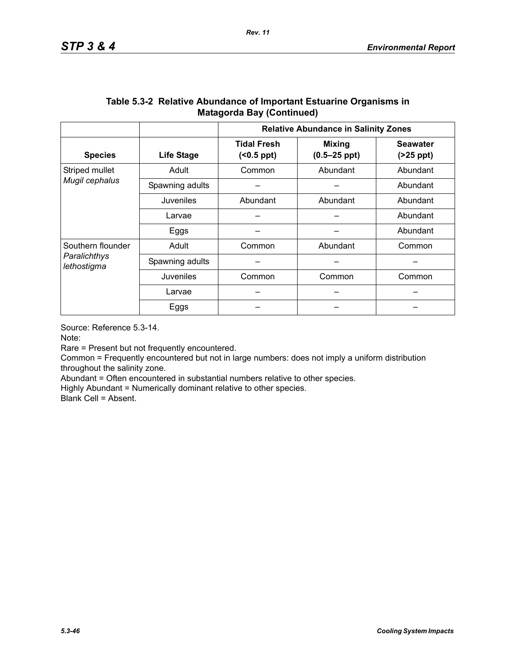|                                                  |                   | <b>Relative Abundance in Salinity Zones</b> |                                   |                               |  |
|--------------------------------------------------|-------------------|---------------------------------------------|-----------------------------------|-------------------------------|--|
| <b>Species</b>                                   | <b>Life Stage</b> | <b>Tidal Fresh</b><br>$( <0.5$ ppt $)$      | <b>Mixing</b><br>$(0.5 - 25$ ppt) | <b>Seawater</b><br>$(25$ ppt) |  |
| Striped mullet                                   | Adult             | Common                                      | Abundant                          | Abundant                      |  |
| Mugil cephalus                                   | Spawning adults   |                                             |                                   |                               |  |
|                                                  | Juveniles         | Abundant<br>Abundant                        |                                   | Abundant                      |  |
|                                                  | Larvae            |                                             |                                   | Abundant                      |  |
|                                                  | Eggs              |                                             |                                   | Abundant                      |  |
| Southern flounder<br>Paralichthys<br>lethostigma | Adult             | Common                                      | Abundant                          |                               |  |
|                                                  | Spawning adults   |                                             |                                   |                               |  |
|                                                  | Juveniles         | Common<br>Common                            |                                   | Common                        |  |
|                                                  | Larvae            |                                             |                                   |                               |  |
|                                                  | Eggs              |                                             |                                   |                               |  |

### **Table 5.3-2 Relative Abundance of Important Estuarine Organisms in Matagorda Bay (Continued)**

Source: Reference 5.3-14.

Note:

Rare = Present but not frequently encountered.

Common = Frequently encountered but not in large numbers: does not imply a uniform distribution throughout the salinity zone.

Abundant = Often encountered in substantial numbers relative to other species.

Highly Abundant = Numerically dominant relative to other species.

Blank Cell = Absent.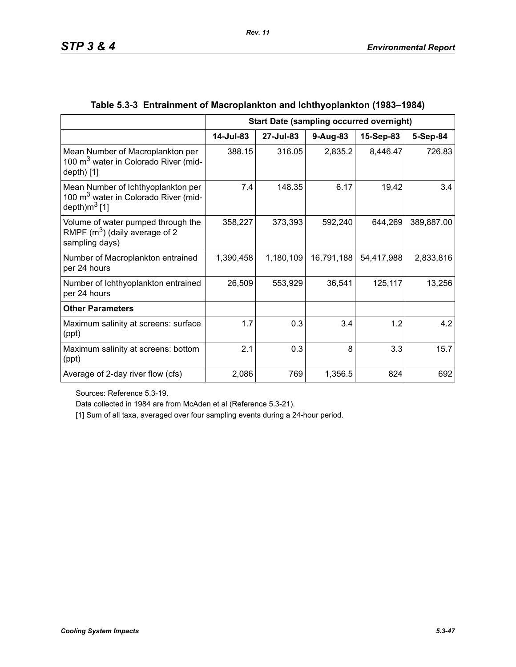|                                                                                                            | <b>Start Date (sampling occurred overnight)</b> |           |            |            |            |
|------------------------------------------------------------------------------------------------------------|-------------------------------------------------|-----------|------------|------------|------------|
|                                                                                                            | 14-Jul-83                                       | 27-Jul-83 | $9-Aug-83$ | 15-Sep-83  | 5-Sep-84   |
| Mean Number of Macroplankton per<br>100 m <sup>3</sup> water in Colorado River (mid-<br>$depth)$ [1]       | 388.15                                          | 316.05    | 2,835.2    | 8,446.47   | 726.83     |
| Mean Number of Ichthyoplankton per<br>100 m <sup>3</sup> water in Colorado River (mid-<br>depth) $m^3$ [1] | 7.4                                             | 148.35    | 6.17       | 19.42      | 3.4        |
| Volume of water pumped through the<br>RMPF $(m^3)$ (daily average of 2<br>sampling days)                   | 358,227                                         | 373,393   | 592,240    | 644,269    | 389,887.00 |
| Number of Macroplankton entrained<br>per 24 hours                                                          | 1,390,458                                       | 1,180,109 | 16,791,188 | 54,417,988 | 2,833,816  |
| Number of Ichthyoplankton entrained<br>per 24 hours                                                        | 26,509                                          | 553,929   | 36,541     | 125,117    | 13,256     |
| <b>Other Parameters</b>                                                                                    |                                                 |           |            |            |            |
| Maximum salinity at screens: surface<br>(ppt)                                                              | 1.7                                             | 0.3       | 3.4        | 1.2        | 4.2        |
| Maximum salinity at screens: bottom<br>(ppt)                                                               | 2.1                                             | 0.3       | 8          | 3.3        | 15.7       |
| Average of 2-day river flow (cfs)                                                                          | 2,086                                           | 769       | 1,356.5    | 824        | 692        |

## **Table 5.3-3 Entrainment of Macroplankton and Ichthyoplankton (1983–1984)**

Sources: Reference 5.3-19.

Data collected in 1984 are from McAden et al (Reference 5.3-21).

[1] Sum of all taxa, averaged over four sampling events during a 24-hour period.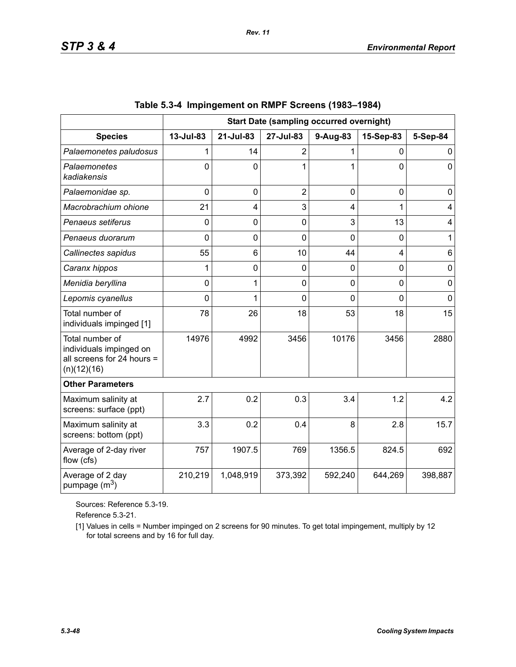|                                                                                         | <b>Start Date (sampling occurred overnight)</b> |                |                |          |                |             |
|-----------------------------------------------------------------------------------------|-------------------------------------------------|----------------|----------------|----------|----------------|-------------|
| <b>Species</b>                                                                          | 13-Jul-83                                       | 21-Jul-83      | 27-Jul-83      | 9-Aug-83 | 15-Sep-83      | 5-Sep-84    |
| Palaemonetes paludosus                                                                  |                                                 | 14             | $\overline{2}$ |          | 0              | 0           |
| Palaemonetes<br>kadiakensis                                                             | $\Omega$                                        | $\overline{0}$ | 1              | 1        | $\overline{0}$ | $\mathbf 0$ |
| Palaemonidae sp.                                                                        | 0                                               | $\mathbf 0$    | $\overline{2}$ | 0        | $\mathbf 0$    | 0           |
| Macrobrachium ohione                                                                    | 21                                              | 4              | 3              | 4        | 1              | 4           |
| Penaeus setiferus                                                                       | 0                                               | $\mathbf 0$    | $\overline{0}$ | 3        | 13             | 4           |
| Penaeus duorarum                                                                        | 0                                               | $\mathbf 0$    | $\overline{0}$ | 0        | $\overline{0}$ | 1           |
| Callinectes sapidus                                                                     | 55                                              | 6              | 10             | 44       | 4              | 6           |
| Caranx hippos                                                                           | 1                                               | $\mathbf 0$    | 0              | 0        | $\overline{0}$ | $\mathbf 0$ |
| Menidia beryllina                                                                       | 0                                               | 1              | 0              | 0        | $\overline{0}$ | $\mathbf 0$ |
| Lepomis cyanellus                                                                       | $\Omega$                                        | 1              | $\Omega$       | $\Omega$ | $\overline{0}$ | $\Omega$    |
| Total number of<br>individuals impinged [1]                                             | 78                                              | 26             | 18             | 53       | 18             | 15          |
| Total number of<br>individuals impinged on<br>all screens for 24 hours =<br>(n)(12)(16) | 14976                                           | 4992           | 3456           | 10176    | 3456           | 2880        |
| <b>Other Parameters</b>                                                                 |                                                 |                |                |          |                |             |
| Maximum salinity at<br>screens: surface (ppt)                                           | 2.7                                             | 0.2            | 0.3            | 3.4      | 1.2            | 4.2         |
| Maximum salinity at<br>screens: bottom (ppt)                                            | 3.3                                             | 0.2            | 0.4            | 8        | 2.8            | 15.7        |
| Average of 2-day river<br>flow (cfs)                                                    | 757                                             | 1907.5         | 769            | 1356.5   | 824.5          | 692         |
| Average of 2 day<br>pumpage $(m^3)$                                                     | 210,219                                         | 1,048,919      | 373,392        | 592,240  | 644,269        | 398,887     |

|  | Table 5.3-4 Impingement on RMPF Screens (1983–1984) |  |  |  |
|--|-----------------------------------------------------|--|--|--|
|--|-----------------------------------------------------|--|--|--|

Sources: Reference 5.3-19.

Reference 5.3-21.

[1] Values in cells = Number impinged on 2 screens for 90 minutes. To get total impingement, multiply by 12 for total screens and by 16 for full day.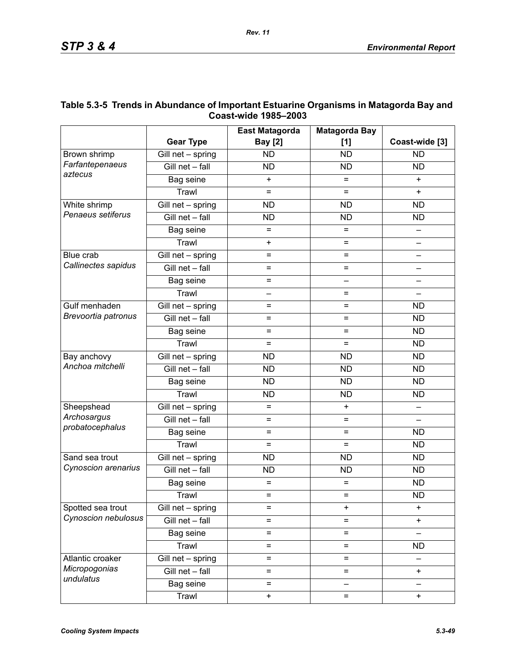|                            |                   | <b>East Matagorda</b>    | <b>Matagorda Bay</b> |                |
|----------------------------|-------------------|--------------------------|----------------------|----------------|
|                            | <b>Gear Type</b>  | <b>Bay [2]</b>           | [1]                  | Coast-wide [3] |
| Brown shrimp               | Gill net - spring | <b>ND</b>                | <b>ND</b>            | <b>ND</b>      |
| Farfantepenaeus<br>aztecus | Gill net - fall   | <b>ND</b>                | <b>ND</b>            | <b>ND</b>      |
|                            | Bag seine         | $\ddot{}$                | =                    | $+$            |
|                            | Trawl             | $=$                      | $=$                  | $\ddot{}$      |
| White shrimp               | Gill net - spring | <b>ND</b><br><b>ND</b>   |                      | <b>ND</b>      |
| Penaeus setiferus          | Gill net - fall   | <b>ND</b><br><b>ND</b>   |                      | <b>ND</b>      |
|                            | Bag seine         | $=$<br>=                 |                      |                |
|                            | Trawl             | $\ddot{}$                | $=$                  |                |
| Blue crab                  | Gill net - spring | $=$                      | $=$                  |                |
| Callinectes sapidus        | Gill net - fall   | $=$                      | $=$                  |                |
|                            | Bag seine         | $=$                      |                      |                |
|                            | Trawl             | $\overline{\phantom{0}}$ | $=$                  |                |
| Gulf menhaden              | Gill net - spring | $=$                      | $=$                  | <b>ND</b>      |
| Brevoortia patronus        | Gill net - fall   | $=$                      | $=$                  |                |
|                            | Bag seine         | $=$                      | $=$                  | <b>ND</b>      |
|                            | Trawl             | $=$                      | $=$                  | <b>ND</b>      |
| Bay anchovy                | Gill net - spring | <b>ND</b>                | <b>ND</b>            | <b>ND</b>      |
| Anchoa mitchelli           | Gill net - fall   | <b>ND</b>                | <b>ND</b>            | <b>ND</b>      |
|                            | Bag seine         | <b>ND</b>                | <b>ND</b>            | <b>ND</b>      |
|                            | Trawl             | <b>ND</b>                | <b>ND</b>            | <b>ND</b>      |
| Sheepshead                 | Gill net - spring | $=$                      | $\ddot{}$            |                |
| Archosargus                | Gill net - fall   | $=$                      | Ξ                    |                |
| probatocephalus            | Bag seine         | $=$                      | $=$                  | <b>ND</b>      |
|                            | Trawl             | $=$                      | $=$                  | <b>ND</b>      |
| Sand sea trout             | Gill net - spring | <b>ND</b>                | <b>ND</b>            | <b>ND</b>      |
| Cynoscion arenarius        | Gill net - fall   | <b>ND</b>                | <b>ND</b>            | <b>ND</b>      |
|                            | Bag seine         | $=$                      | =                    | <b>ND</b>      |
|                            | Trawl             | =                        | $=$                  | <b>ND</b>      |
| Spotted sea trout          | Gill net - spring | Ξ                        | +                    | $\ddot{}$      |
| Cynoscion nebulosus        | Gill net - fall   | $=$                      | =                    | $\ddot{}$      |
|                            | Bag seine         | $=$                      | $=$                  |                |
|                            | Trawl             | $=$                      | =                    | <b>ND</b>      |
| Atlantic croaker           | Gill net - spring | $=$                      | $=$                  |                |
| Micropogonias              | Gill net - fall   | $=$                      | $=$                  | $\ddot{}$      |
| undulatus                  | Bag seine         | $=$                      |                      |                |
|                            | Trawl             | $\pmb{+}$                | =                    | $\ddot{}$      |

### **Table 5.3-5 Trends in Abundance of Important Estuarine Organisms in Matagorda Bay and Coast-wide 1985–2003**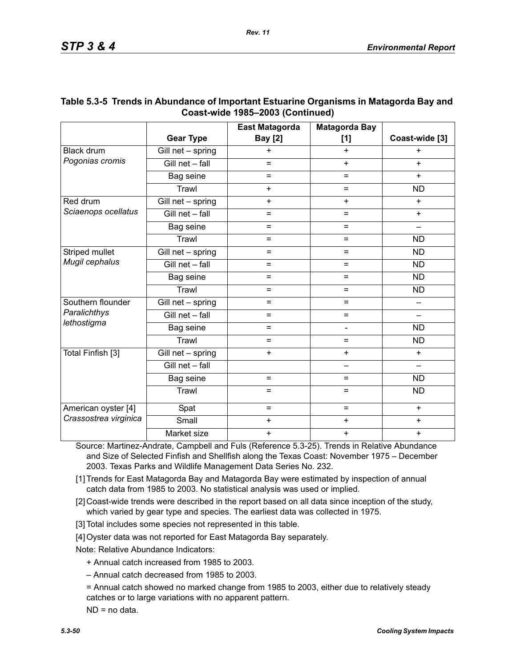|                       |                   | <b>East Matagorda</b> | <b>Matagorda Bay</b>     |                |
|-----------------------|-------------------|-----------------------|--------------------------|----------------|
|                       | <b>Gear Type</b>  | <b>Bay [2]</b>        | $[1]$                    | Coast-wide [3] |
| <b>Black drum</b>     | Gill net - spring | $\ddot{}$             | +                        | $\ddot{}$      |
| Pogonias cromis       | Gill net - fall   | $=$                   | $+$                      | $+$            |
|                       | Bag seine         | =                     | $=$                      | $\ddot{}$      |
|                       | Trawl             | $+$                   | $=$                      | <b>ND</b>      |
| Red drum              | Gill net - spring | $+$                   | $+$                      | $+$            |
| Sciaenops ocellatus   | Gill net - fall   | $=$                   | $=$                      | $+$            |
|                       | Bag seine         | $=$                   | Ξ                        |                |
|                       | Trawl             | $=$                   | $=$                      | <b>ND</b>      |
| Striped mullet        | Gill net - spring | $=$                   | $=$                      | <b>ND</b>      |
| Mugil cephalus        | Gill net - fall   | $=$                   | $=$                      | <b>ND</b>      |
|                       | Bag seine         | $=$                   | =                        | <b>ND</b>      |
|                       | Trawl             | =                     | $=$                      | <b>ND</b>      |
| Southern flounder     | Gill net - spring | $=$                   | $=$                      |                |
| Paralichthys          | Gill net - fall   | $=$                   | $\equiv$                 |                |
| lethostigma           | Bag seine         | $=$                   | $\blacksquare$           | <b>ND</b>      |
|                       | Trawl             | $=$                   | $=$                      | <b>ND</b>      |
| Total Finfish [3]     | Gill net - spring | $+$                   | $\ddot{}$                | $+$            |
|                       | Gill net - fall   |                       | $\overline{\phantom{0}}$ |                |
|                       | Bag seine         | $=$                   | $=$                      | <b>ND</b>      |
|                       | Trawl             | $=$                   | $=$                      | <b>ND</b>      |
| American oyster [4]   | Spat              | $=$                   | $=$                      | $+$            |
| Crassostrea virginica | Small             | $\ddot{}$             | $\ddot{}$                | $\ddot{}$      |
|                       | Market size       | $\ddot{}$             | $\ddot{}$                | $\ddot{}$      |

### **Table 5.3-5 Trends in Abundance of Important Estuarine Organisms in Matagorda Bay and Coast-wide 1985–2003 (Continued)**

Source: Martinez-Andrate, Campbell and Fuls (Reference 5.3-25). Trends in Relative Abundance and Size of Selected Finfish and Shellfish along the Texas Coast: November 1975 – December 2003. Texas Parks and Wildlife Management Data Series No. 232.

[1] Trends for East Matagorda Bay and Matagorda Bay were estimated by inspection of annual catch data from 1985 to 2003. No statistical analysis was used or implied.

[2] Coast-wide trends were described in the report based on all data since inception of the study, which varied by gear type and species. The earliest data was collected in 1975.

[3] Total includes some species not represented in this table.

[4] Oyster data was not reported for East Matagorda Bay separately.

Note: Relative Abundance Indicators:

+ Annual catch increased from 1985 to 2003.

– Annual catch decreased from 1985 to 2003.

= Annual catch showed no marked change from 1985 to 2003, either due to relatively steady catches or to large variations with no apparent pattern.

ND = no data.